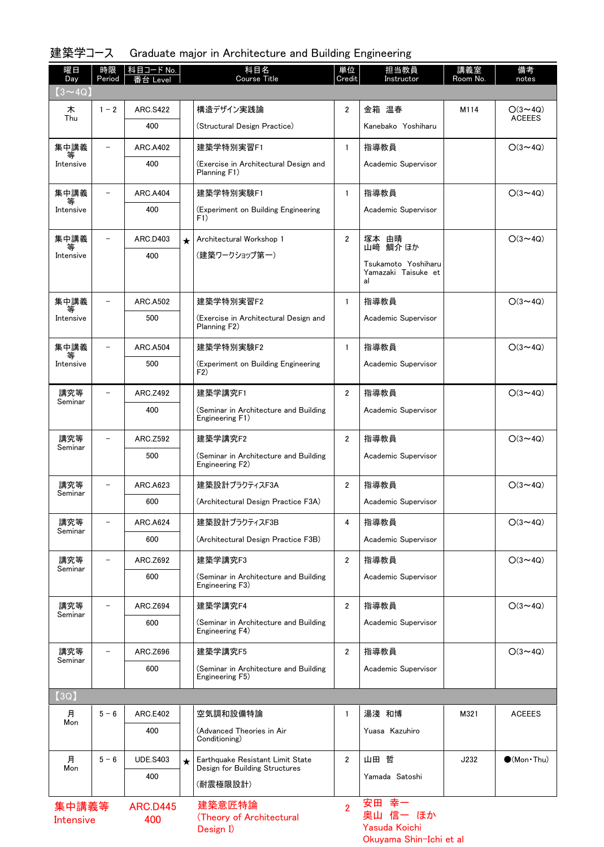## 建築学コース Graduate major in Architecture and Building Engineering

| 曜日<br>Day                 | 時限<br>Period             | │科目コード No.<br>番台 Level |         | 科目名<br><b>Course Title</b>                                         | 単位<br>Credit   | 担当教員<br>Instructor                                              | 講義室<br>Room No. | 備考<br>notes                     |
|---------------------------|--------------------------|------------------------|---------|--------------------------------------------------------------------|----------------|-----------------------------------------------------------------|-----------------|---------------------------------|
| $(3 \sim 4Q)$             |                          |                        |         |                                                                    |                |                                                                 |                 |                                 |
| 木<br>Thu                  | $1 - 2$                  | <b>ARC.S422</b><br>400 |         | 構造デザイン実践論<br>(Structural Design Practice)                          | $\overline{2}$ | 金箱 温春<br>Kanebako Yoshiharu                                     | M114            | $O(3 \sim 4Q)$<br><b>ACEEES</b> |
| 集中講義                      | $\overline{\phantom{0}}$ | <b>ARC.A402</b>        |         | 建築学特別実習F1                                                          | $\mathbf{1}$   | 指導教員                                                            |                 | $O(3 \sim 4Q)$                  |
| 等<br>Intensive            |                          | 400                    |         | (Exercise in Architectural Design and<br>Planning F1)              |                | Academic Supervisor                                             |                 |                                 |
| 集中講義                      |                          | <b>ARC.A404</b>        |         | 建築学特別実験F1                                                          | $\mathbf{1}$   | 指導教員                                                            |                 | $O(3 \sim 4Q)$                  |
| Intensive                 |                          | 400                    |         | (Experiment on Building Engineering<br>F1)                         |                | Academic Supervisor                                             |                 |                                 |
| 集中講義                      | $\overline{\phantom{0}}$ | ARC.D403               | $\star$ | Architectural Workshop 1                                           | $\overline{2}$ | 塚本 由晴                                                           |                 | $O(3 \sim 4Q)$                  |
| 等<br>Intensive            |                          | 400                    |         | (建築ワークショップ第一)                                                      |                | 鯛介 ほか<br>山﨑<br>Tsukamoto Yoshiharu<br>Yamazaki Taisuke et<br>al |                 |                                 |
| 集中講義                      |                          | <b>ARC.A502</b>        |         | 建築学特別実習F2                                                          | $\mathbf{1}$   | 指導教員                                                            |                 | $O(3 \sim 4Q)$                  |
| Intensive                 |                          | 500                    |         | (Exercise in Architectural Design and<br>Planning F2)              |                | Academic Supervisor                                             |                 |                                 |
| 集中講義                      | $\overline{\phantom{0}}$ | <b>ARC.A504</b>        |         | 建築学特別実験F2                                                          | 1              | 指導教員                                                            |                 | $O(3 \sim 4Q)$                  |
| 等<br>Intensive            |                          | 500                    |         | (Experiment on Building Engineering<br>F <sub>2</sub>              |                | Academic Supervisor                                             |                 |                                 |
| 講究等                       |                          | ARC.Z492               |         | 建築学講究F1                                                            | $\overline{2}$ | 指導教員                                                            |                 | $O(3 \sim 4Q)$                  |
| Seminar                   |                          | 400                    |         | (Seminar in Architecture and Building<br>Engineering F1)           |                | Academic Supervisor                                             |                 |                                 |
| 講究等                       | $\overline{a}$           | ARC.Z592               |         | 建築学講究F2                                                            | $\overline{2}$ | 指導教員                                                            |                 | $O(3 \sim 4Q)$                  |
| Seminar                   |                          | 500                    |         | (Seminar in Architecture and Building<br>Engineering F2)           |                | Academic Supervisor                                             |                 |                                 |
| 講究等                       |                          | ARC.A623               |         | 建築設計プラクティスF3A                                                      | $\overline{2}$ | 指導教員                                                            |                 | $O(3 \sim 4Q)$                  |
| Seminar                   |                          | 600                    |         | (Architectural Design Practice F3A)                                |                | Academic Supervisor                                             |                 |                                 |
| 講究等                       | -                        | <b>ARC.A624</b>        |         | 建築設計プラクティスF3B                                                      | 4              | 指導教員                                                            |                 | $O(3 \sim 4Q)$                  |
| Seminar                   |                          | 600                    |         | (Architectural Design Practice F3B)                                |                | Academic Supervisor                                             |                 |                                 |
| 講究等                       | $\equiv$                 | ARC.Z692               |         | 建築学講究F3                                                            | $\mathbf{2}$   | 指導教員                                                            |                 | $O(3 \sim 4Q)$                  |
| Seminar                   |                          | 600                    |         | (Seminar in Architecture and Building<br>Engineering F3)           |                | Academic Supervisor                                             |                 |                                 |
| 講究等                       |                          | ARC.Z694               |         | 建築学講究F4                                                            | $\overline{2}$ | 指導教員                                                            |                 | $O(3 \sim 4Q)$                  |
| Seminar                   |                          | 600                    |         | (Seminar in Architecture and Building<br>Engineering F4)           |                | Academic Supervisor                                             |                 |                                 |
| 講究等<br>Seminar            |                          | ARC <sub>.</sub> Z696  |         | 建築学講究F5                                                            | $\overline{2}$ | 指導教員                                                            |                 | $O(3 \sim 4Q)$                  |
|                           |                          | 600                    |         | (Seminar in Architecture and Building<br>Engineering F5)           |                | Academic Supervisor                                             |                 |                                 |
| (3Q)                      |                          |                        |         |                                                                    |                |                                                                 |                 |                                 |
| 月<br>Mon                  | $5 - 6$                  | ARC.E402               |         | 空気調和設備特論                                                           | 1              | 湯淺 和博                                                           | M321            | <b>ACEEES</b>                   |
|                           |                          | 400                    |         | (Advanced Theories in Air<br>Conditioning)                         |                | Yuasa Kazuhiro                                                  |                 |                                 |
| 月<br>Mon                  | $5 - 6$                  | <b>UDE.S403</b>        | $\star$ | Earthquake Resistant Limit State<br>Design for Building Structures | $\overline{2}$ | 山田 哲                                                            | J232            | $\bullet$ (Mon•Thu)             |
|                           |                          | 400                    |         | (耐震極限設計)                                                           |                | Yamada Satoshi                                                  |                 |                                 |
| 集中講義等<br><b>Intensive</b> |                          | <b>ARC.D445</b><br>400 |         | 建築意匠特論<br>(Theory of Architectural<br>Design I)                    | $\overline{2}$ | 安田 幸-<br>奥山 信一 ほか<br>Yasuda Koichi<br>Okuyama Shin-Ichi et al   |                 |                                 |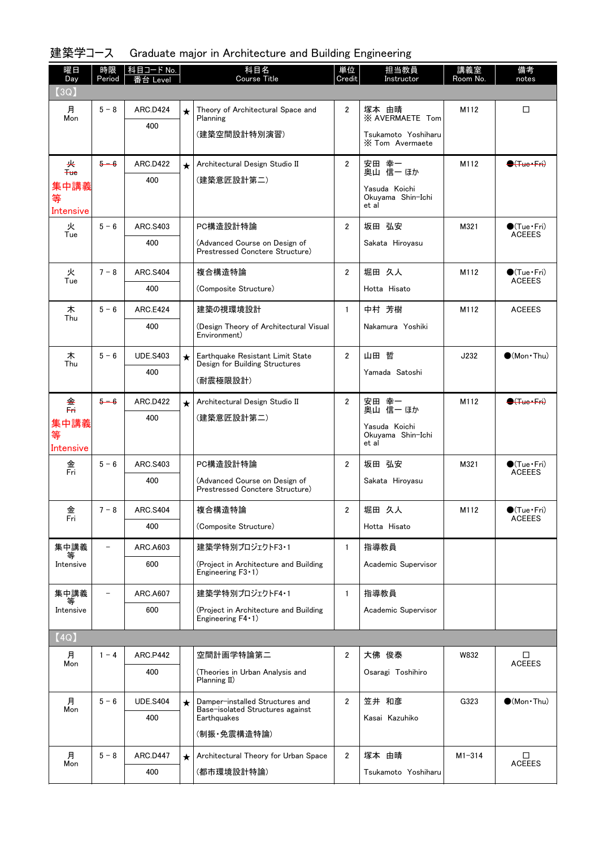| 曜日<br>Day              | 時限<br>Period | │科目コード No. │<br>番台 Level |         | 科目名<br><b>Course Title</b>                                          | 単位<br>Credit   | 担当教員<br>Instructor                          | 講義室<br>Room No. | 備考<br>notes                           |
|------------------------|--------------|--------------------------|---------|---------------------------------------------------------------------|----------------|---------------------------------------------|-----------------|---------------------------------------|
| (3Q)                   |              |                          |         |                                                                     |                |                                             |                 |                                       |
| 月<br>Mon               | $5 - 8$      | <b>ARC.D424</b>          | $\star$ | Theory of Architectural Space and<br>Planning                       | $\mathbf{2}$   | 塚本 由晴<br><b>XX AVERMAETE Tom</b>            | M112            | □                                     |
|                        |              | 400                      |         | (建築空間設計特別演習)                                                        |                | Tsukamoto Yoshiharu<br>X Tom Avermaete      |                 |                                       |
| 夹                      | $5 - 6$      | <b>ARC.D422</b>          | $\star$ | Architectural Design Studio II                                      | $\overline{2}$ | 安田 幸一<br>奥山 信一 ほか                           | M112            | $\bigoplus$ (Tue+Fri)                 |
| $He$<br>集中講義           |              | 400                      |         | (建築意匠設計第二)                                                          |                | Yasuda Koichi                               |                 |                                       |
| 等<br>Intensive         |              |                          |         |                                                                     |                | Okuyama Shin-Ichi<br>et al                  |                 |                                       |
| 火<br>Tue               | $5 - 6$      | ARC.S403                 |         | PC構造設計特論                                                            | $\overline{2}$ | 坂田 弘安                                       | M321            | $\bigcirc$ (Tue Fri)<br><b>ACEEES</b> |
|                        |              | 400                      |         | (Advanced Course on Design of<br>Prestressed Conctere Structure)    |                | Sakata Hiroyasu                             |                 |                                       |
| 火<br>Tue               | $7 - 8$      | <b>ARC.S404</b>          |         | 複合構造特論                                                              | $\overline{2}$ | 堀田 久人                                       | M112            | $\bigcirc$ (Tue•Fri)<br><b>ACEEES</b> |
|                        |              | 400                      |         | (Composite Structure)                                               |                | Hotta Hisato                                |                 |                                       |
| 木<br>Thu               | $5 - 6$      | <b>ARC.E424</b>          |         | 建築の視環境設計                                                            | $\mathbf{1}$   | 中村 芳樹                                       | M112            | <b>ACEEES</b>                         |
|                        |              | 400                      |         | (Design Theory of Architectural Visual<br>Environment)              |                | Nakamura Yoshiki                            |                 |                                       |
| 木<br>Thu               | $5 - 6$      | <b>UDE.S403</b>          | $\star$ | Earthquake Resistant Limit State<br>Design for Building Structures  | $\overline{2}$ | 山田 哲                                        | J232            | $\bullet$ (Mon • Thu)                 |
|                        |              | 400                      |         | (耐震極限設計)                                                            |                | Yamada Satoshi                              |                 |                                       |
| 金<br>툐                 | $5 - 6$      | <b>ARC.D422</b>          | $\star$ | Architectural Design Studio II                                      | $\mathbf{2}$   | 安田 幸一<br>奥山 信一 ほか                           | M112            | $\bigoplus$ (Tue-Fri)                 |
| 集中講義<br>等<br>Intensive |              | 400                      |         | (建築意匠設計第二)                                                          |                | Yasuda Koichi<br>Okuyama Shin-Ichi<br>et al |                 |                                       |
| 金                      | $5 - 6$      | ARC.S403                 |         | PC構造設計特論                                                            | $\overline{2}$ | 坂田 弘安                                       | M321            | $\bigcirc$ (Tue · Fri)                |
| Fri                    |              | 400                      |         | (Advanced Course on Design of<br>Prestressed Conctere Structure)    |                | Sakata Hiroyasu                             |                 | <b>ACEEES</b>                         |
| 金                      | $7 - 8$      | <b>ARC.S404</b>          |         | 複合構造特論                                                              | $\overline{2}$ | 堀田 久人                                       | M112            | $\bullet$ (Tue•Fri)                   |
| Fri                    |              | 400                      |         | (Composite Structure)                                               |                | Hotta Hisato                                |                 | <b>ACEEES</b>                         |
| 集中講義                   |              | ARC.A603                 |         | 建築学特別プロジェクトF3·1                                                     | $\mathbf{1}$   | 指導教員                                        |                 |                                       |
| 等<br>Intensive         |              | 600                      |         | (Project in Architecture and Building<br>Engineering $F3 \cdot 1$ ) |                | Academic Supervisor                         |                 |                                       |
| 集中講義<br>等              |              | ARC.A607                 |         | 建築学特別プロジェクトF4·1                                                     | $\mathbf{1}$   | 指導教員                                        |                 |                                       |
| Intensive              |              | 600                      |         | (Project in Architecture and Building<br>Engineering $F4 \cdot 1$ ) |                | Academic Supervisor                         |                 |                                       |
| [4Q]                   |              |                          |         |                                                                     |                |                                             |                 |                                       |
| 月<br>Mon               | $1 - 4$      | <b>ARC.P442</b>          |         | 空間計画学特論第二                                                           | $\overline{2}$ | 大佛 俊泰                                       | W832            | □<br><b>ACEEES</b>                    |
|                        |              | 400                      |         | (Theories in Urban Analysis and<br>Planning II)                     |                | Osaragi Toshihiro                           |                 |                                       |
| 月<br>Mon               | $5 - 6$      | <b>UDE.S404</b>          | $\star$ | Damper-installed Structures and<br>Base-isolated Structures against | $\mathbf{2}$   | 笠井 和彦                                       | G323            | $\bullet$ (Mon · Thu)                 |
|                        |              | 400                      |         | Earthquakes                                                         |                | Kasai Kazuhiko                              |                 |                                       |
|                        |              |                          |         | (制振·免震構造特論)                                                         |                |                                             |                 |                                       |
| 月<br>Mon               | $5 - 8$      | ARC.D447                 | $\star$ | Architectural Theory for Urban Space                                | $\mathbf{2}$   | 塚本 由晴                                       | $M1 - 314$      | □<br><b>ACEEES</b>                    |
|                        |              | 400                      |         | (都市環境設計特論)                                                          |                | Tsukamoto Yoshiharu                         |                 |                                       |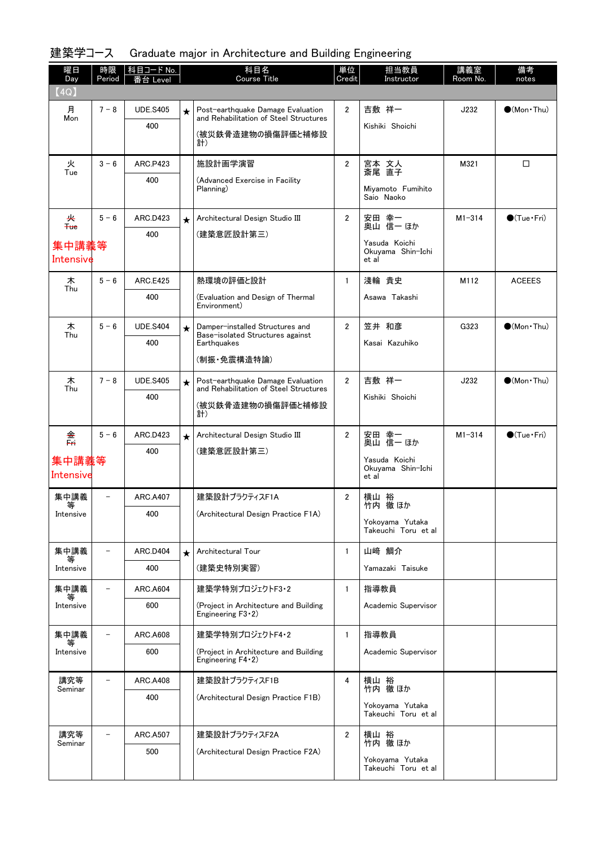| 建築学コース Graduate major in Architecture and Building Engineering |  |  |  |  |  |  |
|----------------------------------------------------------------|--|--|--|--|--|--|
|----------------------------------------------------------------|--|--|--|--|--|--|

| 曜日<br>Day            | 時限<br>Period             | 科目コード No.<br>番台 Level |         | 科目名<br><b>Course Title</b>                                                  | 単位<br>Credit   | 担当教員<br>Instructor         | 講義室<br>Room No. | 備考<br>notes            |
|----------------------|--------------------------|-----------------------|---------|-----------------------------------------------------------------------------|----------------|----------------------------|-----------------|------------------------|
| (4Q)                 |                          |                       |         |                                                                             |                |                            |                 |                        |
| 月<br>Mon             | $7 - 8$                  | <b>UDE.S405</b>       | $\star$ | Post-earthquake Damage Evaluation<br>and Rehabilitation of Steel Structures | $\overline{2}$ | 吉敷 祥一                      | J232            | $\bigcirc$ (Mon · Thu) |
|                      |                          | 400                   |         | (被災鉄骨造建物の損傷評価と補修設                                                           |                | Kishiki Shoichi            |                 |                        |
|                      |                          |                       |         | 計)                                                                          |                |                            |                 |                        |
| 火<br>Tue             | $3 - 6$                  | <b>ARC.P423</b>       |         | 施設計画学演習                                                                     | $\overline{2}$ | 宮本 文人<br>斎尾 直子             | M321            | □                      |
|                      |                          | 400                   |         | (Advanced Exercise in Facility<br>Planning)                                 |                | Miyamoto Fumihito          |                 |                        |
|                      |                          |                       |         |                                                                             |                | Saio Naoko                 |                 |                        |
| 夹<br>$4$             | $5 - 6$                  | ARC.D423              | $\star$ | Architectural Design Studio III                                             | $\overline{2}$ | 安田 幸一<br>奥山 信一 ほか          | $M1 - 314$      | $\bigcirc$ (Tue · Fri) |
|                      |                          | 400                   |         | (建築意匠設計第三)                                                                  |                | Yasuda Koichi              |                 |                        |
| 集中講義等<br>Intensive   |                          |                       |         |                                                                             |                | Okuyama Shin-Ichi<br>et al |                 |                        |
| 木                    | $5 - 6$                  | <b>ARC.E425</b>       |         | 熱環境の評価と設計                                                                   | $\mathbf{1}$   | 淺輪 貴史                      | M112            | <b>ACEEES</b>          |
| Thu                  |                          | 400                   |         | (Evaluation and Design of Thermal                                           |                | Asawa Takashi              |                 |                        |
|                      |                          |                       |         | Environment)                                                                |                |                            |                 |                        |
| 木<br>Thu             | $5 - 6$                  | <b>UDE.S404</b>       | $\star$ | Damper-installed Structures and<br>Base-isolated Structures against         | $\overline{2}$ | 笠井 和彦                      | G323            | $\bigcirc$ (Mon · Thu) |
|                      |                          | 400                   |         | Earthquakes                                                                 |                | Kasai Kazuhiko             |                 |                        |
|                      |                          |                       |         | (制振・免震構造特論)                                                                 |                |                            |                 |                        |
| 木<br>Thu             | $7 - 8$                  | <b>UDE.S405</b>       | $\star$ | Post-earthquake Damage Evaluation<br>and Rehabilitation of Steel Structures | $\overline{2}$ | 吉敷 祥一                      | J232            | $\bullet$ (Mon · Thu)  |
|                      |                          | 400                   |         | (被災鉄骨造建物の損傷評価と補修設                                                           |                | Kishiki Shoichi            |                 |                        |
|                      |                          |                       |         | 計)                                                                          |                |                            |                 |                        |
| 金.<br><del>Fri</del> | $5 - 6$                  | ARC.D423              | $\star$ | Architectural Design Studio III                                             | $\mathbf{2}$   | 安田 幸一<br>奥山 信一 ほか          | $M1 - 314$      | $\bigcirc$ (Tue·Fri)   |
| 集中講義等                |                          | 400                   |         | (建築意匠設計第三)                                                                  |                | Yasuda Koichi              |                 |                        |
| Intensive            |                          |                       |         |                                                                             |                | Okuyama Shin-Ichi<br>et al |                 |                        |
| 集中講義<br>等            | -                        | <b>ARC.A407</b>       |         | 建築設計プラクティスF1A                                                               | 2              | 横山 裕<br>竹内 徹ほか             |                 |                        |
| Intensive            |                          | 400                   |         | (Architectural Design Practice F1A)                                         |                | Yokoyama Yutaka            |                 |                        |
|                      |                          |                       |         |                                                                             |                | Takeuchi Toru et al        |                 |                        |
| 集中講義<br>等            |                          | ARC.D404              | $\star$ | Architectural Tour                                                          | $\mathbf{1}$   | 山﨑 鯛介                      |                 |                        |
| Intensive            |                          | 400                   |         | (建築史特別実習)                                                                   |                | Yamazaki Taisuke           |                 |                        |
| 集中講義<br>等            | $\overline{\phantom{0}}$ | <b>ARC.A604</b>       |         | 建築学特別プロジェクトF3·2                                                             | $\mathbf{1}$   | 指導教員                       |                 |                        |
| Intensive            |                          | 600                   |         | (Project in Architecture and Building<br>Engineering $F3-2$ )               |                | Academic Supervisor        |                 |                        |
| 集中講義                 |                          | ARC.A608              |         | 建築学特別プロジェクトF4・2                                                             | $\mathbf{1}$   | 指導教員                       |                 |                        |
| Intensive            |                          | 600                   |         | (Project in Architecture and Building<br>Engineering $F4-2$ )               |                | Academic Supervisor        |                 |                        |
| 講究等<br>Seminar       |                          | <b>ARC.A408</b>       |         | 建築設計プラクティスF1B                                                               | 4              | 横山 裕<br>竹内 徹 ほか            |                 |                        |
|                      |                          | 400                   |         | (Architectural Design Practice F1B)                                         |                | Yokoyama Yutaka            |                 |                        |
|                      |                          |                       |         |                                                                             |                | Takeuchi Toru et al        |                 |                        |
| 講究等<br>Seminar       |                          | <b>ARC.A507</b>       |         | 建築設計プラクティスF2A                                                               | $\overline{2}$ | 横山 裕<br>竹内 徹ほか             |                 |                        |
|                      |                          | 500                   |         | (Architectural Design Practice F2A)                                         |                | Yokoyama Yutaka            |                 |                        |
|                      |                          |                       |         |                                                                             |                | Takeuchi Toru et al        |                 |                        |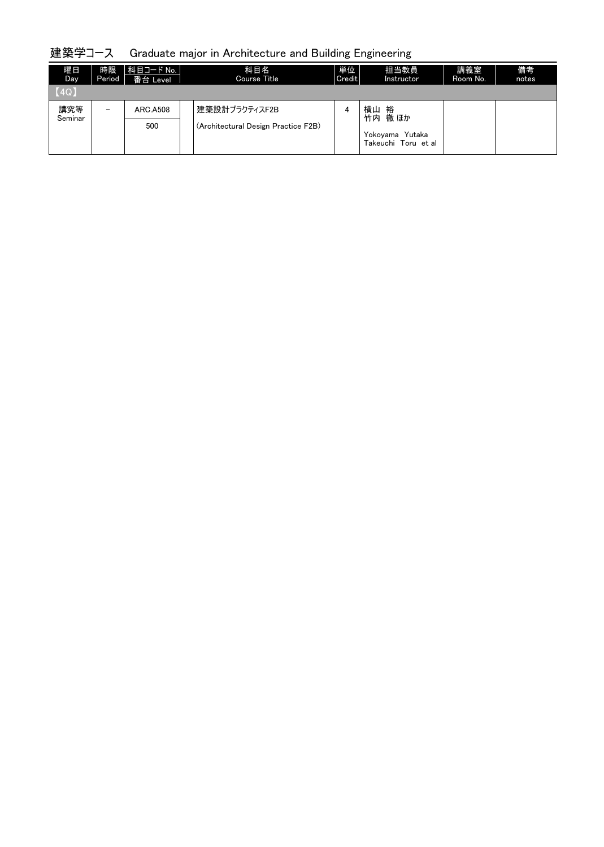## 建築学コース Graduate major in Architecture and Building Engineering

| 曜日<br>Day.     | 時限<br><b>Period</b>      | │科目コード No. │<br>番台 Level | 科目名<br>Course Title                                  | 単位<br>Credit | 担当教員<br>Instructor                                              | 講義室<br>Room No. | 備考<br>notes |
|----------------|--------------------------|--------------------------|------------------------------------------------------|--------------|-----------------------------------------------------------------|-----------------|-------------|
| (4Q)           |                          |                          |                                                      |              |                                                                 |                 |             |
| 講究等<br>Seminar | $\overline{\phantom{0}}$ | <b>ARC.A508</b><br>500   | 建築設計プラクティスF2B<br>(Architectural Design Practice F2B) | 4            | 横山<br>裕<br>徹 ほか<br>竹内<br>Yokoyama Yutaka<br>Takeuchi Toru et al |                 |             |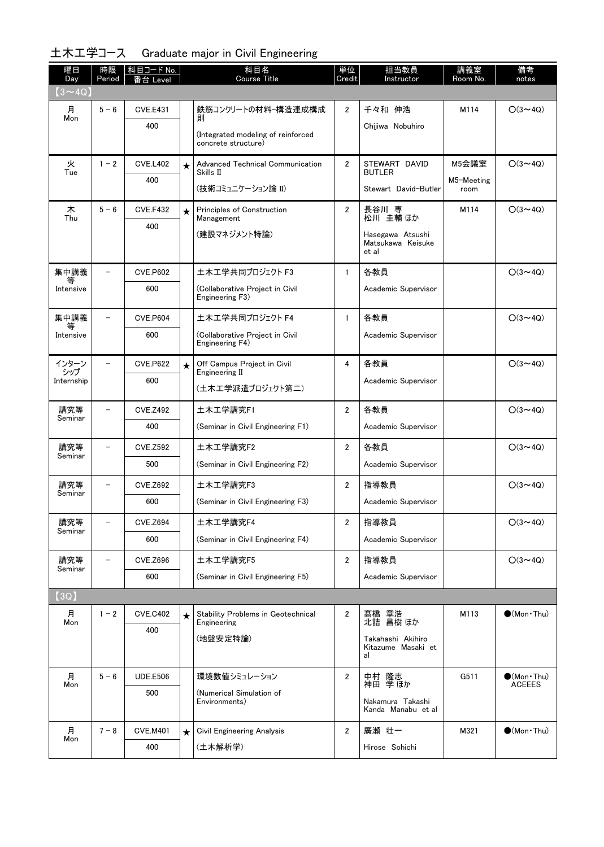| 曜日<br>Day      | 時限<br>Period             | 科目コード No.<br>番台 Level |         | 科目名<br>Course Title                                       | 単位<br>Credit   | 担当教員<br>Instructor                             | 講義室<br>Room No.    | 備考<br>notes                          |
|----------------|--------------------------|-----------------------|---------|-----------------------------------------------------------|----------------|------------------------------------------------|--------------------|--------------------------------------|
| $(3 \sim 4Q)$  |                          |                       |         |                                                           |                |                                                |                    |                                      |
| 月              | $5 - 6$                  | <b>CVE.E431</b>       |         | 鉄筋コンクリートの材料-構造連成構成                                        | $\overline{2}$ | 千々和 伸浩                                         | M114               | $O(3 \sim 4Q)$                       |
| Mon            |                          | 400                   |         | 馴                                                         |                | Chijiwa Nobuhiro                               |                    |                                      |
|                |                          |                       |         | (Integrated modeling of reinforced<br>concrete structure) |                |                                                |                    |                                      |
| 火<br>Tue       | $1 - 2$                  | <b>CVE.L402</b>       | $\star$ | Advanced Technical Communication<br>Skills II             | $\overline{2}$ | STEWART DAVID<br><b>BUTLER</b>                 | M5会議室              | $O(3 \sim 4Q)$                       |
|                |                          | 400                   |         | (技術コミュニケーション論 II)                                         |                | Stewart David-Butler                           | M5-Meeting<br>room |                                      |
| 木<br>Thu       | $5 - 6$                  | <b>CVE.F432</b>       | $\star$ | Principles of Construction<br>Management                  | $\overline{2}$ | 長谷川 専<br>松川 圭輔 ほか                              | M114               | $O(3 \sim 4Q)$                       |
|                |                          | 400                   |         | (建設マネジメント特論)                                              |                | Hasegawa Atsushi<br>Matsukawa Keisuke<br>et al |                    |                                      |
| 集中講義           | $\overline{\phantom{a}}$ | <b>CVE.P602</b>       |         | 土木工学共同プロジェクト F3                                           | $\mathbf{1}$   | 各教員                                            |                    | $O(3 \sim 4Q)$                       |
| 等<br>Intensive |                          | 600                   |         | (Collaborative Project in Civil<br>Engineering F3)        |                | Academic Supervisor                            |                    |                                      |
| 集中講義           |                          | <b>CVE.P604</b>       |         | 土木工学共同プロジェクト F4                                           | $\mathbf{1}$   | 各教員                                            |                    | $O(3 \sim 4Q)$                       |
| Intensive      |                          | 600                   |         | (Collaborative Project in Civil<br>Engineering F4)        |                | Academic Supervisor                            |                    |                                      |
| インターン<br>シップ   |                          | <b>CVE.P622</b>       | $\star$ | Off Campus Project in Civil<br>Engineering II             | 4              | 各教員                                            |                    | $O(3 \sim 4Q)$                       |
| Internship     |                          | 600                   |         | (土木工学派遣プロジェクト第二)                                          |                | Academic Supervisor                            |                    |                                      |
| 講究等            |                          | <b>CVE.Z492</b>       |         | 土木工学講究F1                                                  | $\overline{2}$ | 各教員                                            |                    | $O(3 \sim 4Q)$                       |
| Seminar        |                          | 400                   |         | (Seminar in Civil Engineering F1)                         |                | Academic Supervisor                            |                    |                                      |
| 講究等            | $\overline{\phantom{0}}$ | <b>CVE.Z592</b>       |         | 土木工学講究F2                                                  | $\overline{2}$ | 各教員                                            |                    | $O(3 \sim 4Q)$                       |
| Seminar        |                          | 500                   |         | (Seminar in Civil Engineering F2)                         |                | Academic Supervisor                            |                    |                                      |
| 講究等<br>Seminar |                          | <b>CVE.Z692</b>       |         | 土木工学講究F3                                                  | $\overline{2}$ | 指導教員                                           |                    | $O(3 \sim 4Q)$                       |
|                |                          | 600                   |         | (Seminar in Civil Engineering F3)                         |                | Academic Supervisor                            |                    |                                      |
| 講究等<br>Seminar |                          | <b>CVE.Z694</b>       |         | 土木工学講究F4                                                  | 2              | 指導教員                                           |                    | $O(3 \sim 4Q)$                       |
|                |                          | 600                   |         | (Seminar in Civil Engineering F4)                         |                | Academic Supervisor                            |                    |                                      |
| 講究等            |                          | <b>CVE.Z696</b>       |         | 土木工学講究F5                                                  | 2              | 指導教員                                           |                    | $O(3 \sim 4Q)$                       |
| Seminar        |                          | 600                   |         | (Seminar in Civil Engineering F5)                         |                | Academic Supervisor                            |                    |                                      |
| (3Q)           |                          |                       |         |                                                           |                |                                                |                    |                                      |
| 月              | $1 - 2$                  | <b>CVE.C402</b>       | $\star$ | <b>Stability Problems in Geotechnical</b>                 | $\overline{2}$ | 髙橋 章浩<br>北詰 昌樹ほか                               | M113               | $\bigcirc$ (Mon Thu)                 |
| Mon            |                          | 400                   |         | Engineering<br>(地盤安定特論)                                   |                | Takahashi Akihiro                              |                    |                                      |
|                |                          |                       |         |                                                           |                | Kitazume Masaki et<br>al                       |                    |                                      |
| 月<br>Mon       | $5 - 6$                  | <b>UDE.E506</b>       |         | 環境数値シミュレーション                                              | $\overline{2}$ | 中村 隆志<br>神田 学ほか                                | G511               | $\bullet$ (Mon•Thu)<br><b>ACEEES</b> |
|                |                          | 500                   |         | (Numerical Simulation of<br>Environments)                 |                | Nakamura Takashi<br>Kanda Manabu et al         |                    |                                      |
| 月              | $7 - 8$                  | <b>CVE.M401</b>       | $\star$ | Civil Engineering Analysis                                | $\overline{2}$ | 廣瀬 壮一                                          | M321               | $\bullet$ (Mon · Thu)                |
| Mon            |                          | 400                   |         | (土木解析学)                                                   |                | Hirose Sohichi                                 |                    |                                      |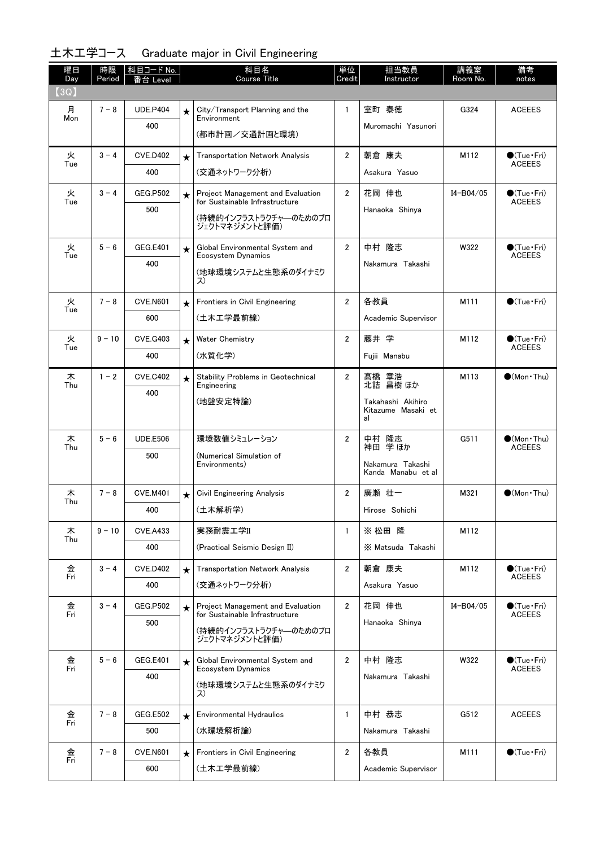| 曜日<br>Day | 時限<br>Period | │科目コード No.<br>台 Level |            | 科目名<br><b>Course Title</b>                                          | 単位<br>Credit   | 担当教員<br>Instructor                            | 講義室<br>Room No. | 備考<br>notes                           |
|-----------|--------------|-----------------------|------------|---------------------------------------------------------------------|----------------|-----------------------------------------------|-----------------|---------------------------------------|
| (3Q)      |              |                       |            |                                                                     |                |                                               |                 |                                       |
| 月         | $7 - 8$      | <b>UDE.P404</b>       | $\star$    | City/Transport Planning and the                                     | $\mathbf{1}$   | 室町 泰徳                                         | G324            | <b>ACEEES</b>                         |
| Mon       |              | 400                   |            | Environment<br>(都市計画/交通計画と環境)                                       |                | Muromachi Yasunori                            |                 |                                       |
|           |              |                       |            |                                                                     |                |                                               |                 |                                       |
| 火<br>Tue  | $3 - 4$      | <b>CVE.D402</b>       | $\star$    | <b>Transportation Network Analysis</b>                              | $\overline{2}$ | 朝倉 康夫                                         | M112            | $\bullet$ (Tue Fri)<br><b>ACEEES</b>  |
|           |              | 400                   |            | (交通ネットワーク分析)                                                        |                | Asakura Yasuo                                 |                 |                                       |
| 火<br>Tue  | $3 - 4$      | <b>GEG.P502</b>       | $\star$    | Project Management and Evaluation<br>for Sustainable Infrastructure | $\overline{2}$ | 花岡 伸也                                         | I4-B04/05       | $\bullet$ (Tue Fri)<br><b>ACEEES</b>  |
|           |              | 500                   |            | (持続的インフラストラクチャ―のためのプロ<br>ジェクトマネジメントと評価)                             |                | Hanaoka Shinya                                |                 |                                       |
| 火         | $5 - 6$      | <b>GEG.E401</b>       | $\star$    | Global Environmental System and                                     | $\overline{2}$ | 中村 隆志                                         | W322            | $\bullet$ (Tue•Fri)                   |
| Tue       |              | 400                   |            | Ecosystem Dynamics                                                  |                | Nakamura Takashi                              |                 | <b>ACEEES</b>                         |
|           |              |                       |            | (地球環境システムと生態系のダイナミク<br>ス)                                           |                |                                               |                 |                                       |
| 火         | $7 - 8$      | <b>CVE.N601</b>       | $\star$    | Frontiers in Civil Engineering                                      | $\overline{2}$ | 各教員                                           | M111            | $\bigcirc$ (Tue · Fri)                |
| Tue       |              | 600                   |            | (土木工学最前線)                                                           |                | Academic Supervisor                           |                 |                                       |
| 火         | $9 - 10$     | <b>CVE.G403</b>       | $\star$    | <b>Water Chemistry</b>                                              | $\overline{2}$ | 藤井 学                                          | M112            | $\bigcirc$ (Tue $\cdot$ Fri)          |
| Tue       |              | 400                   |            | (水質化学)                                                              |                | Fujii Manabu                                  |                 | <b>ACEEES</b>                         |
| 木         | $1 - 2$      | <b>CVE.C402</b>       | $\star$    | Stability Problems in Geotechnical                                  | $\overline{2}$ | 髙橋 章浩<br>北詰 昌樹ほか                              | M113            | $\bigcirc$ (Mon · Thu)                |
| Thu       |              | 400                   |            | Engineering                                                         |                |                                               |                 |                                       |
|           |              |                       |            | (地盤安定特論)                                                            |                | Takahashi Akihiro<br>Kitazume Masaki et<br>al |                 |                                       |
| 木<br>Thu  | $5 - 6$      | <b>UDE.E506</b>       |            | 環境数値シミュレーション                                                        | $\overline{2}$ | 中村 隆志<br>神田 学ほか                               | G511            | $\bigcirc$ (Mon•Thu)<br><b>ACEEES</b> |
|           |              | 500                   |            | (Numerical Simulation of<br>Environments)                           |                | Nakamura Takashi                              |                 |                                       |
|           |              |                       |            |                                                                     |                | Kanda Manabu et al                            |                 |                                       |
| 木<br>Thu  | $7 - 8$      | <b>CVE.M401</b>       | $\star$    | <b>Civil Engineering Analysis</b>                                   | $\overline{2}$ | 廣瀬 壮一                                         | M321            | $\bigcirc$ (Mon · Thu)                |
|           |              | 400                   |            | (土木解析学)                                                             |                | Hirose Sohichi                                |                 |                                       |
| 木         | $9 - 10$     | <b>CVE.A433</b>       |            | 実務耐震工学II                                                            | $\mathbf{1}$   | ※ 松田 降                                        | M112            |                                       |
| Thu       |              | 400                   |            | (Practical Seismic Design II)                                       |                | X Matsuda Takashi                             |                 |                                       |
| 金<br>Fri  | $3 - 4$      | <b>CVE.D402</b>       | $\star$    | <b>Transportation Network Analysis</b>                              | $\overline{2}$ | 朝倉 康夫                                         | M112            | $\bullet$ (Tue Fri)<br><b>ACEEES</b>  |
|           |              | 400                   |            | (交通ネットワーク分析)                                                        |                | Asakura Yasuo                                 |                 |                                       |
| 金         | $3 - 4$      | <b>GEG.P502</b>       | $\bigstar$ | Project Management and Evaluation<br>for Sustainable Infrastructure | $\overline{2}$ | 花岡 伸也                                         | I4-B04/05       | $\bullet$ (Tue $\cdot$ Fri)           |
| Fri       |              | 500                   |            | (持続的インフラストラクチャ―のためのプロ                                               |                | Hanaoka Shinya                                |                 | <b>ACEEES</b>                         |
|           |              |                       |            | ジェクトマネジメントと評価)                                                      |                |                                               |                 |                                       |
| 金<br>Fri  | $5 - 6$      | <b>GEG.E401</b>       | $\star$    | Global Environmental System and                                     | $\overline{2}$ | 中村 隆志                                         | W322            | $\bigcirc$ (Tue $\cdot$ Fri)          |
|           |              | 400                   |            | Ecosystem Dynamics<br>(地球環境システムと生態系のダイナミク                           |                | Nakamura Takashi                              |                 | <b>ACEEES</b>                         |
|           |              |                       |            | ス)                                                                  |                |                                               |                 |                                       |
| 金<br>Fri  | $7 - 8$      | GEG.E502              | $\star$    | <b>Environmental Hydraulics</b>                                     | $\mathbf{1}$   | 中村 恭志                                         | G512            | <b>ACEEES</b>                         |
|           |              | 500                   |            | (水環境解析論)                                                            |                | Nakamura Takashi                              |                 |                                       |
| 金         | $7 - 8$      | <b>CVE.N601</b>       | $\star$    | Frontiers in Civil Engineering                                      | $\mathbf{2}$   | 各教員                                           | M111            | $\bigcirc$ (Tue $\cdot$ Fri)          |
| Fri       |              | 600                   |            | (土木工学最前線)                                                           |                | Academic Supervisor                           |                 |                                       |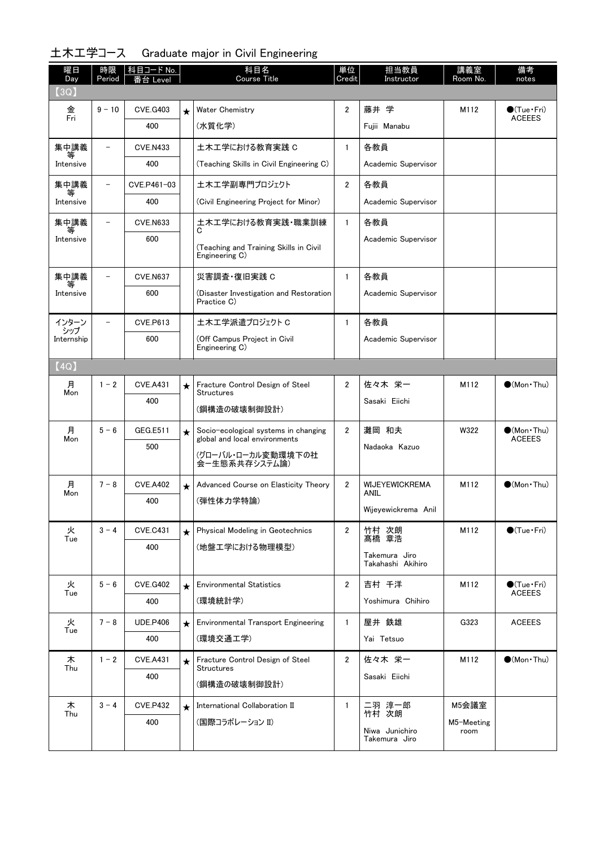| 曜日<br>Day    | 時限<br>Period             | 科目コード No.  <br>Level |         | 科目名<br><b>Course Title</b>                                            | 単位<br>Credit   | 担当教員<br>Instructor        | 講義室<br>Room No.    | 備考<br>notes                            |
|--------------|--------------------------|----------------------|---------|-----------------------------------------------------------------------|----------------|---------------------------|--------------------|----------------------------------------|
| (3Q)         |                          |                      |         |                                                                       |                |                           |                    |                                        |
| 金            | $9 - 10$                 | <b>CVE.G403</b>      | $\star$ | <b>Water Chemistry</b>                                                | $\overline{2}$ | 藤井 学                      | M112               | $\bullet$ (Tue Fri)                    |
| Fri          |                          | 400                  |         | (水質化学)                                                                |                | Fujii Manabu              |                    | <b>ACEEES</b>                          |
| 集中講義         | $\overline{\phantom{0}}$ | <b>CVE.N433</b>      |         | 土木工学における教育実践 C                                                        | $\mathbf{1}$   | 各教員                       |                    |                                        |
| Intensive    |                          | 400                  |         | (Teaching Skills in Civil Engineering C)                              |                | Academic Supervisor       |                    |                                        |
| 集中講義<br>等    | $\overline{\phantom{a}}$ | CVE.P461-03          |         | 土木工学副専門プロジェクト                                                         | $\overline{2}$ | 各教員                       |                    |                                        |
| Intensive    |                          | 400                  |         | (Civil Engineering Project for Minor)                                 |                | Academic Supervisor       |                    |                                        |
| 集中講義<br>等    | $\qquad \qquad -$        | <b>CVE.N633</b>      |         | 土木工学における教育実践・職業訓練<br>C                                                | $\mathbf{1}$   | 各教員                       |                    |                                        |
| Intensive    |                          | 600                  |         | (Teaching and Training Skills in Civil<br>Engineering C)              |                | Academic Supervisor       |                    |                                        |
| 集中講義<br>等    |                          | <b>CVE.N637</b>      |         | 災害調査·復旧実践 C                                                           | $\mathbf{1}$   | 各教員                       |                    |                                        |
| Intensive    |                          | 600                  |         | (Disaster Investigation and Restoration<br>Practice C)                |                | Academic Supervisor       |                    |                                        |
| インターン<br>シップ |                          | <b>CVE.P613</b>      |         | 土木工学派遣プロジェクト C                                                        | $\mathbf{1}$   | 各教員                       |                    |                                        |
| Internship   |                          | 600                  |         | (Off Campus Project in Civil<br>Engineering C)                        |                | Academic Supervisor       |                    |                                        |
| [4Q]         |                          |                      |         |                                                                       |                |                           |                    |                                        |
| 月<br>Mon     | $1 - 2$                  | <b>CVE.A431</b>      | $\star$ | Fracture Control Design of Steel<br><b>Structures</b>                 | $\overline{2}$ | 佐々木 栄一                    | M112               | $\bigcirc$ (Mon•Thu)                   |
|              |                          | 400                  |         | (鋼構造の破壊制御設計)                                                          |                | Sasaki Eiichi             |                    |                                        |
| 月<br>Mon     | $5 - 6$                  | GEG.E511             | $\star$ | Socio-ecological systems in changing<br>global and local environments | $\overline{2}$ | 灘岡 和夫                     | W322               | $\bullet$ (Mon • Thu)<br><b>ACEEES</b> |
|              |                          | 500                  |         | (グローバル・ローカル変動環境下の社<br>会一生態系共存システム論)                                   |                | Nadaoka Kazuo             |                    |                                        |
| 月<br>Mon     | $7 - 8$                  | <b>CVE.A402</b>      | $\star$ | Advanced Course on Elasticity Theory                                  | $\overline{2}$ | WIJEYEWICKREMA<br>ANIL    | M112               | $\bullet$ (Mon•Thu)                    |
|              |                          | 400                  |         | (弾性体力学特論)                                                             |                | Wijeyewickrema Anil       |                    |                                        |
| 火            | $3 - 4$                  | <b>CVE.C431</b>      | $\star$ | Physical Modeling in Geotechnics                                      | $\overline{2}$ | 竹村 次朗                     | M112               | $\bigcirc$ (Tue · Fri)                 |
| Tue          |                          | 400                  |         | (地盤エ学における物理模型)                                                        |                | 章浩<br>髙橋<br>Takemura Jiro |                    |                                        |
|              |                          |                      |         |                                                                       |                | Takahashi Akihiro         |                    |                                        |
| 火<br>Tue     | $5 - 6$                  | <b>CVE.G402</b>      | $\star$ | <b>Environmental Statistics</b>                                       | $\overline{2}$ | 吉村 千洋                     | M112               | $\bigcirc$ (Tue•Fri)<br><b>ACEEES</b>  |
|              |                          | 400                  |         | (環境統計学)                                                               |                | Yoshimura Chihiro         |                    |                                        |
| 火<br>Tue     | $7 - 8$                  | <b>UDE.P406</b>      | $\star$ | <b>Environmental Transport Engineering</b>                            | $\mathbf{1}$   | 屋井 鉄雄                     | G323               | <b>ACEEES</b>                          |
|              |                          | 400                  |         | (環境交通工学)                                                              |                | Yai Tetsuo                |                    |                                        |
| 木<br>Thu     | $1 - 2$                  | <b>CVE.A431</b>      | $\star$ | Fracture Control Design of Steel<br><b>Structures</b>                 | $\overline{2}$ | 佐々木 栄一                    | M112               | $\bullet$ (Mon•Thu)                    |
|              |                          | 400                  |         | (鋼構造の破壊制御設計)                                                          |                | Sasaki Eiichi             |                    |                                        |
| 木<br>Thu     | $3 - 4$                  | <b>CVE.P432</b>      | $\star$ | International Collaboration II                                        | $\mathbf{1}$   | 二羽 淳一郎<br>竹村 次朗           | M5会議室              |                                        |
|              |                          | 400                  |         | (国際コラボレーション II)                                                       |                | Niwa Junichiro            | M5-Meeting<br>room |                                        |
|              |                          |                      |         |                                                                       |                | Takemura Jiro             |                    |                                        |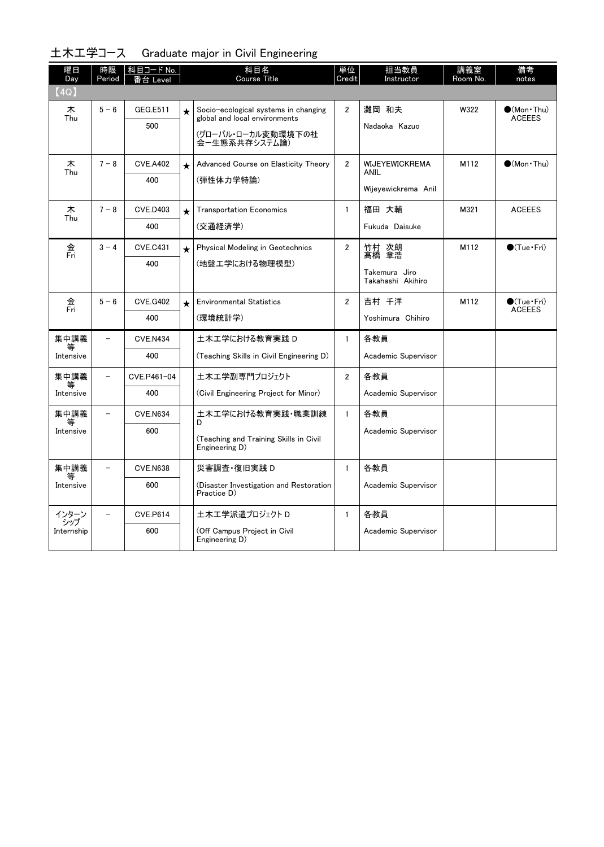| 曜日<br>Day                  | 時限<br>Period             | <u>科目コード No.</u><br>番台 Level |         | 科目名<br>Course Title                                                                                          | 単位<br>Credit   | 担当教員<br>Instructor                                          | 講義室<br>Room No. | 備考<br>notes                           |
|----------------------------|--------------------------|------------------------------|---------|--------------------------------------------------------------------------------------------------------------|----------------|-------------------------------------------------------------|-----------------|---------------------------------------|
| (4Q)                       |                          |                              |         |                                                                                                              |                |                                                             |                 |                                       |
| 木<br>Thu                   | $5 - 6$                  | GEG.E511<br>500              | $\star$ | Socio-ecological systems in changing<br>global and local environments<br>(グローバル・ローカル変動環境下の社<br>会ー生熊系共存システム論) | $\overline{2}$ | 灘岡 和夫<br>Nadaoka Kazuo                                      | W322            | $\bullet$ (Mon•Thu)<br><b>ACEEES</b>  |
| 木<br>Thu                   | $7 - 8$                  | <b>CVE.A402</b><br>400       | $\star$ | Advanced Course on Elasticity Theory<br>(弾性体力学特論)                                                            | $\overline{2}$ | <b>WIJEYEWICKREMA</b><br><b>ANIL</b><br>Wijeyewickrema Anil | M112            | $\bigcirc$ (Mon · Thu)                |
| 木<br>Thu                   | $7 - 8$                  | <b>CVE.D403</b><br>400       | $\star$ | <b>Transportation Economics</b><br>(交通経済学)                                                                   | $\mathbf{1}$   | 福田 大輔<br>Fukuda Daisuke                                     | M321            | <b>ACEEES</b>                         |
| 金<br>Fri                   | $3 - 4$                  | <b>CVE.C431</b><br>400       | $\star$ | Physical Modeling in Geotechnics<br>(地盤工学における物理模型)                                                           | $\overline{2}$ | 竹村 次朗<br>髙橋 章浩<br>Takemura Jiro<br>Takahashi Akihiro        | M112            | $\bigcirc$ (Tue · Fri)                |
| 金<br>Fri                   | $5 - 6$                  | <b>CVE.G402</b><br>400       | $\star$ | <b>Environmental Statistics</b><br>(環境統計学)                                                                   | $\overline{2}$ | 吉村 千洋<br>Yoshimura Chihiro                                  | M112            | $\bigcirc$ (Tue•Fri)<br><b>ACEEES</b> |
| 集中講義<br>Intensive          | $\overline{a}$           | <b>CVE.N434</b><br>400       |         | 土木工学における教育実践 D<br>(Teaching Skills in Civil Engineering D)                                                   | $\mathbf{1}$   | 各教員<br>Academic Supervisor                                  |                 |                                       |
| 集中講義<br>Intensive          | $\overline{\phantom{0}}$ | CVE.P461-04<br>400           |         | 土木エ学副専門プロジェクト<br>(Civil Engineering Project for Minor)                                                       | $\overline{2}$ | 各教員<br>Academic Supervisor                                  |                 |                                       |
| 集中講義<br>等<br>Intensive     | $\overline{a}$           | <b>CVE.N634</b><br>600       |         | 土木工学における教育実践・職業訓練<br>D<br>(Teaching and Training Skills in Civil<br>Engineering D)                           | $\mathbf{1}$   | 各教員<br>Academic Supervisor                                  |                 |                                       |
| 集中講義<br>Intensive          |                          | <b>CVE.N638</b><br>600       |         | 災害調査·復旧実践 D<br>(Disaster Investigation and Restoration<br>Practice D)                                        | $\mathbf{1}$   | 各教員<br>Academic Supervisor                                  |                 |                                       |
| インターン<br>シップ<br>Internship |                          | <b>CVE.P614</b><br>600       |         | 土木工学派遣プロジェクト D<br>(Off Campus Project in Civil<br>Engineering D)                                             | $\mathbf{1}$   | 各教員<br>Academic Supervisor                                  |                 |                                       |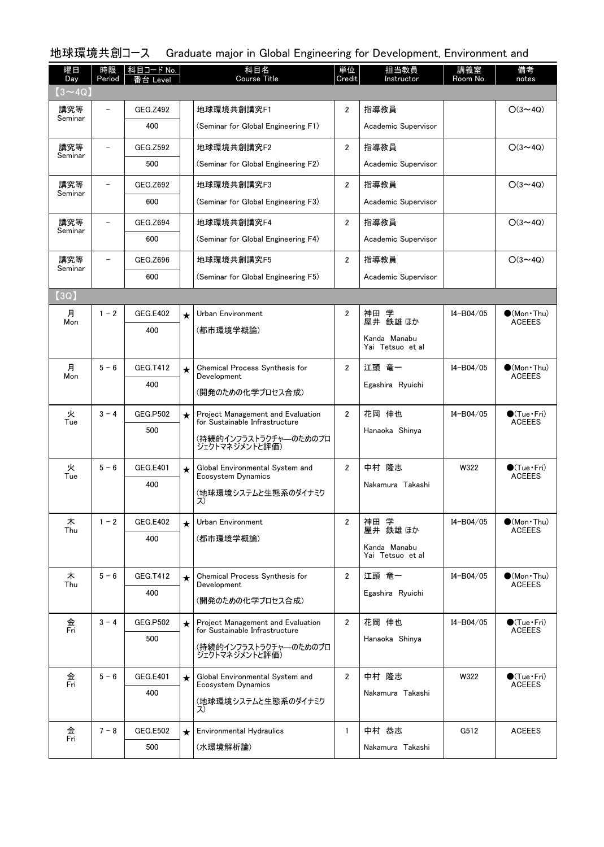| 曜日<br>Day      | 時限<br>Period             | 科目コード No.<br>番台 Level |         | 科目名<br>Course Title                                                 | 単位<br>Credit   | 担当教員<br>Instructor  | 講義室<br>Room No. | 備考<br>notes                            |
|----------------|--------------------------|-----------------------|---------|---------------------------------------------------------------------|----------------|---------------------|-----------------|----------------------------------------|
| $(3 \sim 40)$  |                          |                       |         |                                                                     |                |                     |                 |                                        |
| 講究等<br>Seminar |                          | GEG.Z492              |         | 地球環境共創講究F1                                                          | $\overline{2}$ | 指導教員                |                 | $O(3 \sim 4Q)$                         |
|                |                          | 400                   |         | (Seminar for Global Engineering F1)                                 |                | Academic Supervisor |                 |                                        |
| 講究等<br>Seminar | $\overline{\phantom{0}}$ | GEG.Z592              |         | 地球環境共創講究F2                                                          | $\overline{2}$ | 指導教員                |                 | $O(3 \sim 4Q)$                         |
|                |                          | 500                   |         | (Seminar for Global Engineering F2)                                 |                | Academic Supervisor |                 |                                        |
| 講究等<br>Seminar |                          | GEG.Z692              |         | 地球環境共創講究F3                                                          | $\overline{2}$ | 指導教員                |                 | $O(3 \sim 4Q)$                         |
|                |                          | 600                   |         | (Seminar for Global Engineering F3)                                 |                | Academic Supervisor |                 |                                        |
| 講究等            |                          | GEG.Z694              |         | 地球環境共創講究F4                                                          | $\overline{2}$ | 指導教員                |                 | $O(3 \sim 4Q)$                         |
| Seminar        |                          | 600                   |         | (Seminar for Global Engineering F4)                                 |                | Academic Supervisor |                 |                                        |
| 講究等            |                          | GEG.Z696              |         | 地球環境共創講究F5                                                          | $\overline{2}$ | 指導教員                |                 | $O(3 \sim 4Q)$                         |
| Seminar        |                          | 600                   |         | (Seminar for Global Engineering F5)                                 |                | Academic Supervisor |                 |                                        |
| (3Q)           |                          |                       |         |                                                                     |                |                     |                 |                                        |
| 月<br>Mon       | $1 - 2$                  | GEG.E402              | $\star$ | Urban Environment                                                   | $\overline{2}$ | 神田 学<br>屋井 鉄雄ほか     | I4-B04/05       | $\bullet$ (Mon • Thu)<br><b>ACEEES</b> |
|                |                          | 400                   |         | (都市環境学概論)                                                           |                | Kanda Manabu        |                 |                                        |
|                |                          |                       |         |                                                                     |                | Yai Tetsuo et al    |                 |                                        |
| 月<br>Mon       | $5 - 6$                  | GEG.T412              | $\star$ | Chemical Process Synthesis for<br>Development                       | $\overline{2}$ | 江頭 竜一               | I4-B04/05       | $\bullet$ (Mon•Thu)<br><b>ACEEES</b>   |
|                |                          | 400                   |         | (開発のための化学プロセス合成)                                                    |                | Egashira Ryuichi    |                 |                                        |
| 火              | $3 - 4$                  | <b>GEG.P502</b>       | $\star$ | Project Management and Evaluation                                   | $\overline{2}$ | 花岡 伸也               | I4-B04/05       | $\bullet$ (Tue Fri)                    |
| Tue            |                          | 500                   |         | for Sustainable Infrastructure                                      |                | Hanaoka Shinya      |                 | <b>ACEEES</b>                          |
|                |                          |                       |         | (持続的インフラストラクチャーのためのプロ<br>ジェクトマネジメントと評価)                             |                |                     |                 |                                        |
| 火<br>Tue       | $5 - 6$                  | <b>GEG.E401</b>       | $\star$ | Global Environmental System and<br>Ecosystem Dynamics               | $\overline{2}$ | 中村 隆志               | W322            | $\bullet$ (Tue Fri)<br><b>ACEEES</b>   |
|                |                          | 400                   |         | (地球環境システムと生態系のダイナミク                                                 |                | Nakamura Takashi    |                 |                                        |
|                |                          |                       |         | ス)                                                                  |                |                     |                 |                                        |
| 木<br>Thu       | $1 - 2$                  | <b>GEG.E402</b>       | $\star$ | Urban Environment                                                   | $\overline{2}$ | 神田 学<br>屋井 鉄雄 ほか    | I4-B04/05       | $\bullet$ (Mon • Thu)<br><b>ACEEES</b> |
|                |                          | 400                   |         | (都市環境学概論)                                                           |                | Kanda Manabu        |                 |                                        |
|                |                          |                       |         |                                                                     |                | Yai Tetsuo et al    |                 |                                        |
| 木<br>Thu       | $5 - 6$                  | GEG.T412              | $\star$ | Chemical Process Synthesis for<br>Development                       | $\overline{2}$ | 江頭 竜一               | I4-B04/05       | $\bullet$ (Mon•Thu)<br><b>ACEEES</b>   |
|                |                          | 400                   |         | (開発のための化学プロセス合成)                                                    |                | Egashira Ryuichi    |                 |                                        |
| 金<br>Fri       | $3 - 4$                  | <b>GEG.P502</b>       | $\star$ | Project Management and Evaluation<br>for Sustainable Infrastructure | $\mathbf{2}$   | 花岡 伸也               | I4-B04/05       | $\bigcirc$ (Tue·Fri)<br><b>ACEEES</b>  |
|                |                          | 500                   |         | (持続的インフラストラクチャ―のためのプロ                                               |                | Hanaoka Shinya      |                 |                                        |
|                |                          |                       |         | ジェクトマネジメントと評価)                                                      |                |                     |                 |                                        |
| 金<br>Fri       | $5 - 6$                  | <b>GEG.E401</b>       | $\star$ | Global Environmental System and<br>Ecosystem Dynamics               | $\overline{2}$ | 中村 隆志               | W322            | $\bigcirc$ (Tue·Fri)<br><b>ACEEES</b>  |
|                |                          | 400                   |         | (地球環境システムと生態系のダイナミク                                                 |                | Nakamura Takashi    |                 |                                        |
|                |                          |                       |         | ス)                                                                  |                |                     |                 |                                        |
| 金<br>Fri       | $7 - 8$                  | <b>GEG.E502</b>       | $\star$ | <b>Environmental Hydraulics</b>                                     | $\mathbf{1}$   | 中村 恭志               | G512            | <b>ACEEES</b>                          |
|                |                          | 500                   |         | (水環境解析論)                                                            |                | Nakamura Takashi    |                 |                                        |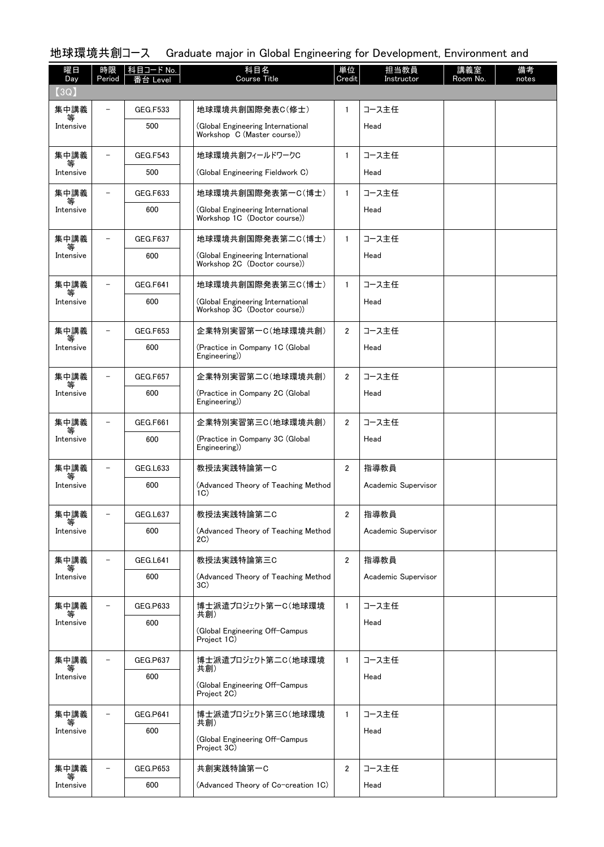| 曜日<br>Day      | 時限<br>Period             | │科目コード No.<br>番台 Level | 科目名<br><b>Course Title</b>                                        | 単位<br>Credit   | 担当教員<br>Instructor  | 講義室<br>Room No. | 備考<br>notes |
|----------------|--------------------------|------------------------|-------------------------------------------------------------------|----------------|---------------------|-----------------|-------------|
| (3Q)           |                          |                        |                                                                   |                |                     |                 |             |
| 集中講義<br>等      |                          | <b>GEG.F533</b>        | 地球環境共創国際発表C(修士)                                                   | 1              | コース主任               |                 |             |
| Intensive      |                          | 500                    | (Global Engineering International<br>Workshop C (Master course))  |                | Head                |                 |             |
| 集中講義           |                          | <b>GEG.F543</b>        | 地球環境共創フィールドワークC                                                   | $\mathbf{1}$   | コース主任               |                 |             |
| Intensive      |                          | 500                    | (Global Engineering Fieldwork C)                                  |                | Head                |                 |             |
| 集中講義           |                          | GEG.F633               | 地球環境共創国際発表第一C(博士)                                                 | $\mathbf{1}$   | コース主任               |                 |             |
| 等<br>Intensive |                          | 600                    | (Global Engineering International<br>Workshop 1C (Doctor course)) |                | Head                |                 |             |
| 集中講義<br>等      |                          | GEG.F637               | 地球環境共創国際発表第二C(博士)                                                 | $\mathbf{1}$   | コース主任               |                 |             |
| Intensive      |                          | 600                    | (Global Engineering International<br>Workshop 2C (Doctor course)) |                | Head                |                 |             |
| 集中講義           |                          | <b>GEG.F641</b>        | 地球環境共創国際発表第三C(博士)                                                 | $\mathbf{1}$   | コース主任               |                 |             |
| 等<br>Intensive |                          | 600                    | (Global Engineering International<br>Workshop 3C (Doctor course)) |                | Head                |                 |             |
| 集中講義           |                          | GEG.F653               | 企業特別実習第一C(地球環境共創)                                                 | $\overline{2}$ | コース主任               |                 |             |
| Intensive      |                          | 600                    | (Practice in Company 1C (Global)<br>Engineering)                  |                | Head                |                 |             |
| 集中講義<br>等      |                          | <b>GEG.F657</b>        | 企業特別実習第二C(地球環境共創)                                                 | $\mathbf{2}$   | コース主任               |                 |             |
| Intensive      |                          | 600                    | (Practice in Company 2C (Global<br>Engineering)                   |                | Head                |                 |             |
| 集中講義           |                          | GEG.F661               | 企業特別実習第三C(地球環境共創)                                                 | $\overline{2}$ | コース主任               |                 |             |
| 等<br>Intensive |                          | 600                    | (Practice in Company 3C (Global<br>Engineering)                   |                | Head                |                 |             |
| 集中講義<br>等      |                          | <b>GEG.L633</b>        | 教授法実践特論第一C                                                        | $\overline{2}$ | 指導教員                |                 |             |
| Intensive      |                          | 600                    | (Advanced Theory of Teaching Method<br>1C)                        |                | Academic Supervisor |                 |             |
| 集中講義<br>等      | -                        | GEG.L637               | 教授法実践特論第二C                                                        | 2              | 指導教員                |                 |             |
| Intensive      |                          | 600                    | (Advanced Theory of Teaching Method<br>2C                         |                | Academic Supervisor |                 |             |
| 集中講義           |                          | GEG.L641               | 教授法実践特論第三C                                                        | $\overline{2}$ | 指導教員                |                 |             |
| Intensive      |                          | 600                    | (Advanced Theory of Teaching Method<br>3C)                        |                | Academic Supervisor |                 |             |
| 集中講義<br>等      | $\overline{\phantom{0}}$ | GEG.P633               | 博士派遣プロジェクト第一C(地球環境<br>共創)                                         | $\mathbf{1}$   | コース主任               |                 |             |
| Intensive      |                          | 600                    | (Global Engineering Off-Campus<br>Project 1C)                     |                | Head                |                 |             |
| 集中講義           |                          | GEG.P637               | 博士派遣プロジェクト第二C(地球環境                                                | $\mathbf{1}$   | コース主任               |                 |             |
| 等<br>Intensive |                          | 600                    | 共創)                                                               |                | Head                |                 |             |
|                |                          |                        | (Global Engineering Off-Campus<br>Project 2C)                     |                |                     |                 |             |
| 集中講義<br>等      | $\overline{\phantom{0}}$ | <b>GEG.P641</b>        | 博士派遣プロジェクト第三C(地球環境<br>共創)                                         | $\mathbf{1}$   | コース主任               |                 |             |
| Intensive      |                          | 600                    | (Global Engineering Off-Campus<br>Project 3C)                     |                | Head                |                 |             |
| 集中講義           | $\overline{\phantom{0}}$ | GEG.P653               | 共創実践特論第一C                                                         | $\overline{2}$ | コース主任               |                 |             |
| 等<br>Intensive |                          | 600                    | (Advanced Theory of Co-creation 1C)                               |                | Head                |                 |             |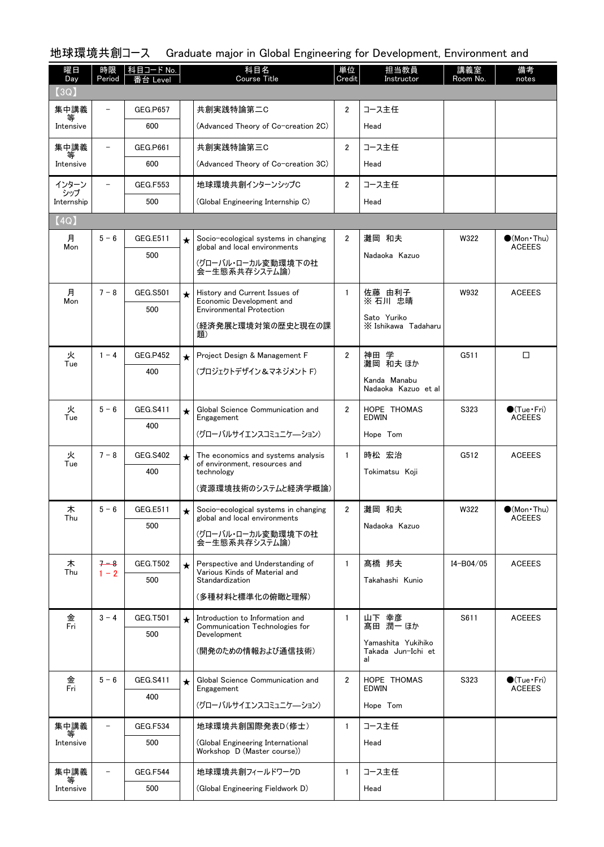| 曜日<br>Day         | 時限<br>Period             | 科目コード No.<br>番台 Level  |          | 科目名<br><b>Course Title</b>                                                        | 単位<br>Credit   | 担当教員<br>Instructor                  | 講義室<br>Room No. | 備考<br>notes                                  |
|-------------------|--------------------------|------------------------|----------|-----------------------------------------------------------------------------------|----------------|-------------------------------------|-----------------|----------------------------------------------|
| (3Q)              |                          |                        |          |                                                                                   |                |                                     |                 |                                              |
| 集中講義              |                          | <b>GEG.P657</b>        |          | 共創実践特論第二C                                                                         | 2              | コース主任                               |                 |                                              |
| Intensive         |                          | 600                    |          | (Advanced Theory of Co-creation 2C)                                               |                | Head                                |                 |                                              |
| 集中講義              | -                        | GEG.P661               |          | 共創実践特論第三C                                                                         | $\mathbf{2}$   | コース主任                               |                 |                                              |
| 等<br>Intensive    |                          | 600                    |          | (Advanced Theory of Co-creation 3C)                                               |                | Head                                |                 |                                              |
| インターン             | $\overline{\phantom{0}}$ | <b>GEG.F553</b>        |          | 地球環境共創インターンシップC                                                                   | $\overline{2}$ | コース主任                               |                 |                                              |
| シップ<br>Internship |                          | 500                    |          | (Global Engineering Internship C)                                                 |                | Head                                |                 |                                              |
| $\texttt{[4Q]}$   |                          |                        |          |                                                                                   |                |                                     |                 |                                              |
| 月<br>Mon          | $5 - 6$                  | GEG.E511               | $\star$  | Socio-ecological systems in changing<br>global and local environments             | $\overline{2}$ | 灘岡 和夫                               | W322            | $\bullet$ (Mon $\cdot$ Thu)<br><b>ACEEES</b> |
|                   |                          | 500                    |          | (グローバル・ローカル変動環境下の社                                                                |                | Nadaoka Kazuo                       |                 |                                              |
|                   |                          |                        |          | 会ー生態系共存システム論)                                                                     |                |                                     |                 |                                              |
| 月<br>Mon          | $7 - 8$                  | <b>GEG.S501</b>        | $\star$  | History and Current Issues of<br>Economic Development and                         | $\mathbf{1}$   | 佐藤 由利子<br>※ 石川 忠晴                   | W932            | <b>ACEEES</b>                                |
|                   |                          | 500                    |          | <b>Environmental Protection</b>                                                   |                | Sato Yuriko                         |                 |                                              |
|                   |                          |                        |          | (経済発展と環境対策の歴史と現在の課<br>顥)                                                          |                | X Ishikawa Tadaharu                 |                 |                                              |
| 火                 | $1 - 4$                  | <b>GEG.P452</b>        | $\star$  | Project Design & Management F                                                     | $\overline{2}$ | 学<br>神田                             | G511            | □                                            |
| Tue               |                          | 400                    |          | (プロジェクトデザイン&マネジメント F)                                                             |                | 灘岡 和夫 ほか                            |                 |                                              |
|                   |                          |                        |          |                                                                                   |                | Kanda Manabu<br>Nadaoka Kazuo et al |                 |                                              |
| 火<br>Tue          | $5 - 6$                  | GEG.S411               | $\star$  | Global Science Communication and                                                  | $\overline{2}$ | HOPE THOMAS<br><b>EDWIN</b>         | S323            | $\bullet$ (Tue•Fri)<br><b>ACEEES</b>         |
|                   |                          | 400                    |          | Engagement<br>(グローバルサイエンスコミュニケーション)                                               |                | Hope Tom                            |                 |                                              |
|                   |                          |                        |          |                                                                                   |                |                                     |                 |                                              |
| 火<br>Tue          | $7 - 8$                  | <b>GEG.S402</b><br>400 | $\star$  | The economics and systems analysis<br>of environment, resources and<br>technology | $\mathbf{1}$   | 時松 宏治<br>Tokimatsu Koji             | G512            | <b>ACEEES</b>                                |
|                   |                          |                        |          | (資源環境技術のシステムと経済学概論)                                                               |                |                                     |                 |                                              |
| 木                 | $5-6$                    | GEG.E511               |          | Socio-ecological systems in changing                                              | $\overline{2}$ | 灘岡 和夫                               | W322            | $\bullet$ (Mon · Thu)                        |
| Thu               |                          | 500                    |          | global and local environments                                                     |                | Nadaoka Kazuo                       |                 | <b>ACEEES</b>                                |
|                   |                          |                        |          | (グローバル・ローカル変動環境下の社<br>会ー生態系共存システム論)                                               |                |                                     |                 |                                              |
| 木                 | $7 - 8$                  | <b>GEG.T502</b>        | $\star$  | Perspective and Understanding of                                                  | $\mathbf{1}$   | 髙橋 邦夫                               | I4-B04/05       | <b>ACEEES</b>                                |
| Thu               | $1 - 2$                  | 500                    |          | Various Kinds of Material and<br>Standardization                                  |                | Takahashi Kunio                     |                 |                                              |
|                   |                          |                        |          | (多種材料と標準化の俯瞰と理解)                                                                  |                |                                     |                 |                                              |
| 金<br>Fri          | $3 - 4$                  | <b>GEG.T501</b>        | $^\star$ | Introduction to Information and<br>Communication Technologies for                 | $\mathbf{1}$   | 山下 幸彦<br>髙田 潤一 ほか                   | S611            | <b>ACEEES</b>                                |
|                   |                          | 500                    |          | Development                                                                       |                | Yamashita Yukihiko                  |                 |                                              |
|                   |                          |                        |          | (開発のための情報および通信技術)                                                                 |                | Takada Jun-Ichi et<br>al            |                 |                                              |
| 金                 | $5 - 6$                  | <b>GEG.S411</b>        | $\star$  | Global Science Communication and                                                  | $\overline{2}$ | HOPE THOMAS                         | S323            | $\bullet$ (Tue $\cdot$ Fri)                  |
| Fri               |                          | 400                    |          | Engagement<br>(グローバルサイエンスコミュニケーション)                                               |                | EDWIN<br>Hope Tom                   |                 | <b>ACEEES</b>                                |
|                   |                          |                        |          |                                                                                   |                |                                     |                 |                                              |
| 集中講義<br>等         | $\overline{a}$           | <b>GEG.F534</b><br>500 |          | 地球環境共創国際発表D(修士)                                                                   | $\mathbf{1}$   | コース主任                               |                 |                                              |
| Intensive         |                          |                        |          | (Global Engineering International<br>Workshop D (Master course))                  |                | Head                                |                 |                                              |
| 集中講義              |                          | GEG.F544               |          | 地球環境共創フィールドワークD                                                                   | $\mathbf{1}$   | コース主任                               |                 |                                              |
| Intensive         |                          | 500                    |          | (Global Engineering Fieldwork D)                                                  |                | Head                                |                 |                                              |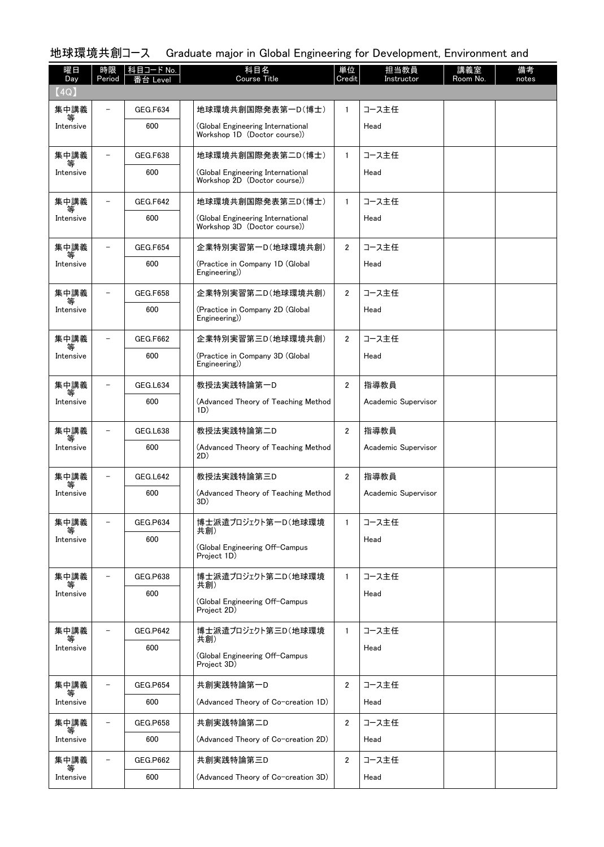| 曜日<br>Day      | 時限<br>Period             | 科目コード No.<br>s台 Level | 科目名<br><b>Course Title</b>                                        | 単位<br>Credit   | 担当教員<br>Instructor  | 講義室<br>Room No. | 備考<br>notes |
|----------------|--------------------------|-----------------------|-------------------------------------------------------------------|----------------|---------------------|-----------------|-------------|
| (4Q)           |                          |                       |                                                                   |                |                     |                 |             |
| 集中講義<br>等      |                          | <b>GEG.F634</b>       | 地球環境共創国際発表第一D(博士)                                                 | $\mathbf{1}$   | コース主任               |                 |             |
| Intensive      |                          | 600                   | (Global Engineering International<br>Workshop 1D (Doctor course)) |                | Head                |                 |             |
| 集中講義           |                          | <b>GEG.F638</b>       | 地球環境共創国際発表第二D(博士)                                                 | $\mathbf{1}$   | コース主任               |                 |             |
| Intensive      |                          | 600                   | (Global Engineering International<br>Workshop 2D (Doctor course)) |                | Head                |                 |             |
| 集中講義<br>等      |                          | <b>GEG.F642</b>       | 地球環境共創国際発表第三D(博士)                                                 | $\mathbf{1}$   | コース主任               |                 |             |
| Intensive      |                          | 600                   | (Global Engineering International<br>Workshop 3D (Doctor course)) |                | Head                |                 |             |
| 集中講義           |                          | GEG.F654              | 企業特別実習第一D(地球環境共創)                                                 | $\overline{2}$ | コース主任               |                 |             |
| Intensive      |                          | 600                   | (Practice in Company 1D (Global)<br>Engineering)                  |                | Head                |                 |             |
| 集中講義<br>等      |                          | <b>GEG.F658</b>       | 企業特別実習第二D(地球環境共創)                                                 | $\overline{2}$ | コース主任               |                 |             |
| Intensive      |                          | 600                   | (Practice in Company 2D (Global<br>Engineering)                   |                | Head                |                 |             |
| 集中講義<br>等      |                          | GEG.F662              | 企業特別実習第三D(地球環境共創)                                                 | $\overline{2}$ | コース主任               |                 |             |
| Intensive      |                          | 600                   | (Practice in Company 3D (Global)<br>Engineering)                  |                | Head                |                 |             |
| 集中講義<br>等      |                          | GEG.L634              | 教授法実践特論第一D                                                        | $\overline{2}$ | 指導教員                |                 |             |
| Intensive      |                          | 600                   | (Advanced Theory of Teaching Method<br>1D)                        |                | Academic Supervisor |                 |             |
| 集中講義<br>等      |                          | GEG.L638              | 教授法実践特論第二D                                                        | $\overline{2}$ | 指導教員                |                 |             |
| Intensive      |                          | 600                   | (Advanced Theory of Teaching Method<br>2D)                        |                | Academic Supervisor |                 |             |
| 集中講義           |                          | GEG.L642              | 教授法実践特論第三D                                                        | 2              | 指導教員                |                 |             |
| Intensive      |                          | 600                   | (Advanced Theory of Teaching Method<br>3D)                        |                | Academic Supervisor |                 |             |
| 集中講義           | $\equiv$                 | <b>GEG.P634</b>       | 博士派遣プロジェクト第一D(地球環境<br>共創)                                         | $\mathbf{1}$   | コース主任               |                 |             |
| Intensive      |                          | 600                   | (Global Engineering Off-Campus<br>Project 1D)                     |                | Head                |                 |             |
| 集中講義           | $\equiv$                 | GEG.P638              | 博士派遣プロジェクト第二D(地球環境                                                | $\mathbf{1}$   | コース主任               |                 |             |
| 等<br>Intensive |                          | 600                   | 共創)<br>(Global Engineering Off-Campus<br>Project 2D)              |                | Head                |                 |             |
| 集中講義           |                          | <b>GEG.P642</b>       | 博士派遣プロジェクト第三D(地球環境                                                | $\mathbf{1}$   | コース主任               |                 |             |
| 等<br>Intensive |                          | 600                   | 共創)<br>(Global Engineering Off-Campus<br>Project 3D)              |                | Head                |                 |             |
| 集中講義           | $\overline{\phantom{0}}$ | <b>GEG.P654</b>       | 共創実践特論第一D                                                         | $\overline{2}$ | コース主任               |                 |             |
| 等<br>Intensive |                          | 600                   | (Advanced Theory of Co-creation 1D)                               |                | Head                |                 |             |
| 集中講義           |                          | GEG.P658              | 共創実践特論第二D                                                         | $\overline{2}$ | コース主任               |                 |             |
| Intensive      |                          | 600                   | (Advanced Theory of Co-creation 2D)                               |                | Head                |                 |             |
| 集中講義           |                          | <b>GEG.P662</b>       | 共創実践特論第三D                                                         | $\overline{2}$ | コース主任               |                 |             |
| Intensive      |                          | 600                   | (Advanced Theory of Co-creation 3D)                               |                | Head                |                 |             |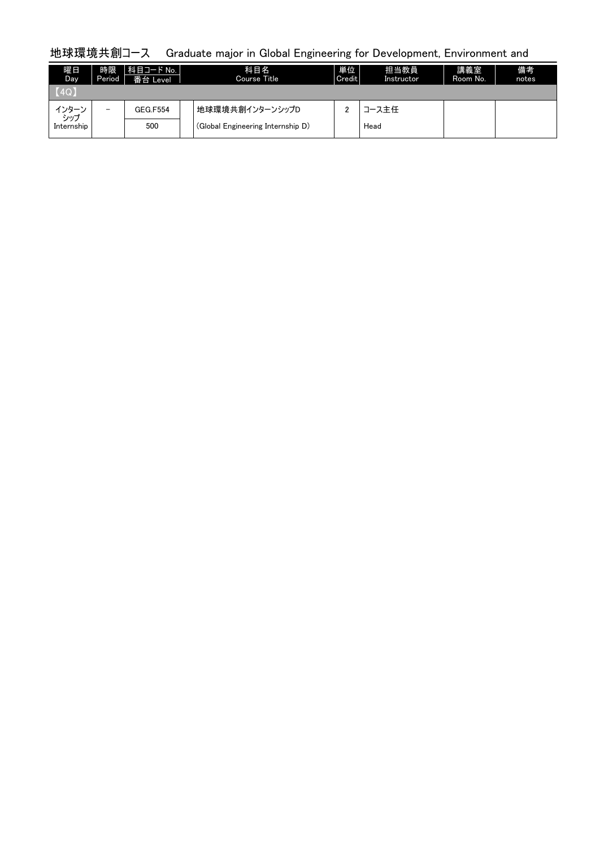| 曜日<br>Day     | 時限<br>Period             | 科目コード No.<br>番台 Level | 科目名<br>Course Title               | 単位<br>Credit | 担当教員<br>Instructor | 講義室<br>Room No. | 備考<br>notes |
|---------------|--------------------------|-----------------------|-----------------------------------|--------------|--------------------|-----------------|-------------|
| $\vert$ (4Q)  |                          |                       |                                   |              |                    |                 |             |
| インターン<br>رسرد | $\overline{\phantom{0}}$ | <b>GEG.F554</b>       | 地球環境共創インターンシップD                   |              | コース主任              |                 |             |
| Internship    |                          | 500                   | (Global Engineering Internship D) |              | Head               |                 |             |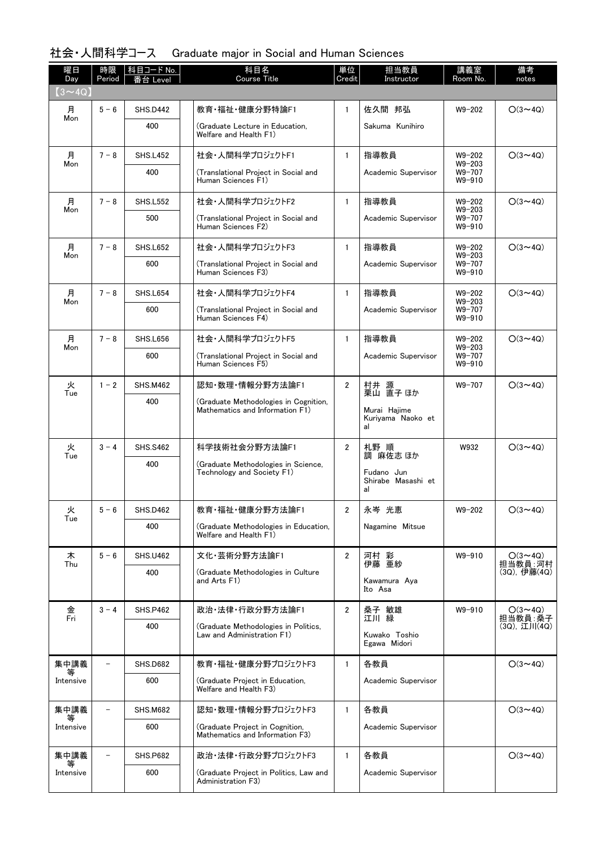| 曜日<br>Day      | 時限<br>Period | │ 科目コード No.<br>台<br>Level | 科目名<br><b>Course Title</b>                                               | 単位<br>Credit   | 担当教員<br>Instructor                                 | 講義室<br>Room No.          | 備考<br>notes               |
|----------------|--------------|---------------------------|--------------------------------------------------------------------------|----------------|----------------------------------------------------|--------------------------|---------------------------|
| $(3 \sim 4Q)$  |              |                           |                                                                          |                |                                                    |                          |                           |
| 月              | $5 - 6$      | <b>SHS.D442</b>           | 教育·福祉·健康分野特論F1                                                           | $\mathbf{1}$   | 佐久間 邦弘                                             | $W9 - 202$               | $O(3 \sim 4Q)$            |
| Mon            |              | 400                       | (Graduate Lecture in Education,<br>Welfare and Health F1)                |                | Sakuma Kunihiro                                    |                          |                           |
| 月<br>Mon       | $7 - 8$      | <b>SHS.L452</b>           | 社会・人間科学プロジェクトF1                                                          | $\mathbf{1}$   | 指導教員                                               | $W9 - 202$<br>$W9 - 203$ | $O(3 \sim 4Q)$            |
|                |              | 400                       | (Translational Project in Social and<br>Human Sciences F1)               |                | Academic Supervisor                                | W9-707<br>W9-910         |                           |
| 月<br>Mon       | $7 - 8$      | <b>SHS.L552</b>           | 社会・人間科学プロジェクトF2                                                          | $\mathbf{1}$   | 指導教員                                               | $W9 - 202$<br>$W9 - 203$ | $O(3 \sim 4Q)$            |
|                |              | 500                       | (Translational Project in Social and<br>Human Sciences F2)               |                | Academic Supervisor                                | W9-707<br>W9-910         |                           |
| 月<br>Mon       | $7 - 8$      | <b>SHS.L652</b>           | 社会・人間科学プロジェクトF3                                                          | $\mathbf{1}$   | 指導教員                                               | $W9 - 202$<br>$W9 - 203$ | $O(3 \sim 4Q)$            |
|                |              | 600                       | (Translational Project in Social and<br>Human Sciences F3)               |                | Academic Supervisor                                | W9-707<br>W9-910         |                           |
| 月<br>Mon       | $7 - 8$      | SHS.L654                  | 社会・人間科学プロジェクトF4                                                          | $\mathbf{1}$   | 指導教員                                               | $W9 - 202$<br>$W9 - 203$ | $O(3 \sim 4Q)$            |
|                |              | 600                       | (Translational Project in Social and<br>Human Sciences F4)               |                | Academic Supervisor                                | W9-707<br>W9-910         |                           |
| 月<br>Mon       | $7 - 8$      | <b>SHS.L656</b>           | 社会・人間科学プロジェクトF5                                                          | $\mathbf{1}$   | 指導教員                                               | W9-202<br>$W9 - 203$     | $O(3 \sim 4Q)$            |
|                |              | 600                       | (Translational Project in Social and<br>Human Sciences F5)               |                | Academic Supervisor                                | W9-707<br>W9-910         |                           |
| 火<br>Tue       | $1 - 2$      | <b>SHS.M462</b>           | 認知·数理·情報分野方法論F1                                                          | $\overline{2}$ | 村井 源<br>栗山 直子 ほか                                   | W9-707                   | $O(3 \sim 4Q)$            |
|                |              | 400                       | (Graduate Methodologies in Cognition,<br>Mathematics and Information F1) |                | Murai Hajime<br>Kuriyama Naoko et<br>al            |                          |                           |
| 火              | $3 - 4$      | <b>SHS.S462</b>           | 科学技術社会分野方法論F1                                                            | $\overline{2}$ | 札野 順                                               | W932                     | $O(3 \sim 4Q)$            |
| Tue            |              | 400                       | (Graduate Methodologies in Science,<br>Technology and Society F1)        |                | 調 麻佐志 ほか<br>Fudano Jun<br>Shirabe Masashi et<br>al |                          |                           |
| 火              | $5 - 6$      | <b>SHS.D462</b>           | 教育·福祉·健康分野方法論F1                                                          | 2              | 永岑 光恵                                              | W9-202                   | $O(3 \sim 4Q)$            |
| Tue            |              | 400                       | (Graduate Methodologies in Education,<br>Welfare and Health F1)          |                | Nagamine Mitsue                                    |                          |                           |
| 木<br>Thu       | $5 - 6$      | <b>SHS.U462</b>           | 文化·芸術分野方法論F1                                                             | $\overline{2}$ | 河村 彩<br>伊藤 亜紗                                      | W9-910                   | $O(3 \sim 4Q)$<br>担当教員:河村 |
|                |              | 400                       | (Graduate Methodologies in Culture<br>and Arts F1)                       |                | Kawamura Aya<br>Ito Asa                            |                          | (3Q), 伊藤(4Q)              |
| 金<br>Fri       | $3 - 4$      | <b>SHS.P462</b>           | 政治·法律·行政分野方法論F1                                                          | $\overline{2}$ | 桑子 敏雄<br>江川 緑                                      | W9-910                   | $O(3 \sim 4Q)$<br>担当教員:桑子 |
|                |              | 400                       | (Graduate Methodologies in Politics,<br>Law and Administration F1)       |                | Kuwako Toshio<br>Egawa Midori                      |                          | (3Q), 江川(4Q)              |
| 集中講義           |              | <b>SHS.D682</b>           | 教育・福祉・健康分野プロジェクトF3                                                       | $\mathbf{1}$   | 各教員                                                |                          | $O(3 \sim 4Q)$            |
| 等<br>Intensive |              | 600                       | (Graduate Project in Education,<br>Welfare and Health F3)                |                | Academic Supervisor                                |                          |                           |
| 集中講義           |              | <b>SHS.M682</b>           | 認知・数理・情報分野プロジェクトF3                                                       | $\mathbf{1}$   | 各教員                                                |                          | $O(3 \sim 4Q)$            |
| Intensive      |              | 600                       | (Graduate Project in Cognition,<br>Mathematics and Information F3)       |                | Academic Supervisor                                |                          |                           |
| 集中講義<br>等      |              | <b>SHS.P682</b>           | 政治・法律・行政分野プロジェクトF3                                                       | $\mathbf{1}$   | 各教員                                                |                          | $O(3 \sim 4Q)$            |
| Intensive      |              | 600                       | (Graduate Project in Politics, Law and<br>Administration F3)             |                | Academic Supervisor                                |                          |                           |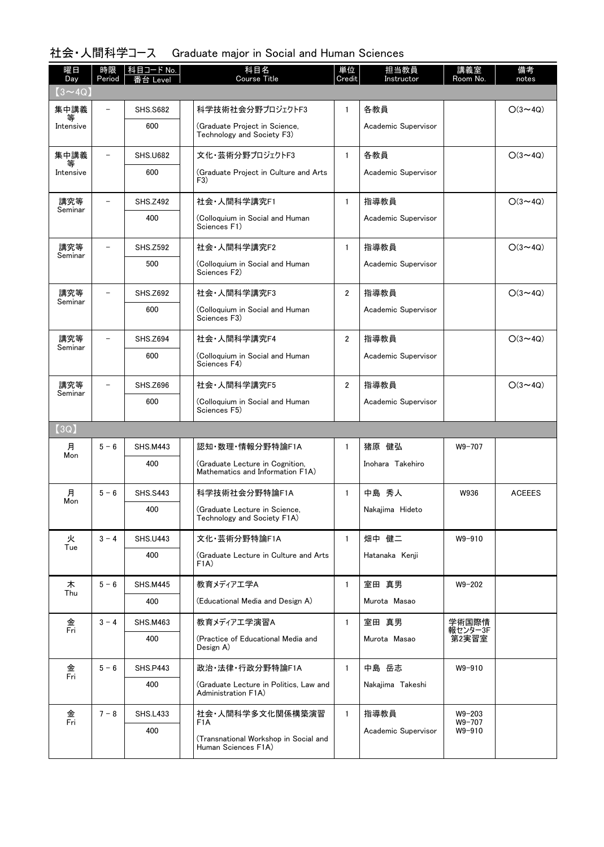| 曜日<br>Day            | 時限<br>Period | 科目コード No.<br>台<br>Level | 科目名<br><b>Course Title</b>                                          | 単位<br>Credit   | 担当教員<br>Instructor  | 講義室<br>Room No.      | 備考<br>notes    |
|----------------------|--------------|-------------------------|---------------------------------------------------------------------|----------------|---------------------|----------------------|----------------|
| $(3 \sim 40)$        |              |                         |                                                                     |                |                     |                      |                |
| 集中講義                 |              | <b>SHS.S682</b>         | 科学技術社会分野プロジェクトF3                                                    | 1              | 各教員                 |                      | $O(3 \sim 4Q)$ |
| Intensive            |              | 600                     | (Graduate Proiect in Science.<br>Technology and Society F3)         |                | Academic Supervisor |                      |                |
| 集中講義<br>等            |              | <b>SHS.U682</b>         | 文化・芸術分野プロジェクトF3                                                     | $\mathbf{1}$   | 各教員                 |                      | $O(3 \sim 4Q)$ |
| Intensive            |              | 600                     | (Graduate Project in Culture and Arts<br>F3)                        |                | Academic Supervisor |                      |                |
| 講究等<br>Seminar       |              | <b>SHS.Z492</b>         | 社会·人間科学講究F1                                                         | $\mathbf{1}$   | 指導教員                |                      | $O(3 \sim 4Q)$ |
|                      |              | 400                     | (Colloquium in Social and Human<br>Sciences F1)                     |                | Academic Supervisor |                      |                |
| 講究等                  | $\equiv$     | <b>SHS.Z592</b>         | 社会·人間科学講究F2                                                         | $\mathbf{1}$   | 指導教員                |                      | $O(3 \sim 4Q)$ |
| Seminar              |              | 500                     | (Colloquium in Social and Human<br>Sciences F2)                     |                | Academic Supervisor |                      |                |
| 講究等                  |              | <b>SHS.Z692</b>         | 社会·人間科学講究F3                                                         | $\overline{2}$ | 指導教員                |                      | $O(3 \sim 4Q)$ |
| Seminar              |              | 600                     | (Colloquium in Social and Human<br>Sciences F3)                     |                | Academic Supervisor |                      |                |
| 講究等<br>Seminar       |              | <b>SHS.Z694</b>         | 社会·人間科学講究F4                                                         | $\overline{2}$ | 指導教員                |                      | $O(3 \sim 4Q)$ |
|                      |              | 600                     | (Colloquium in Social and Human<br>Sciences F4)                     |                | Academic Supervisor |                      |                |
| 講究等<br>Seminar       |              | <b>SHS.Z696</b>         | 社会·人間科学講究F5                                                         | $\overline{2}$ | 指導教員                |                      | $O(3 \sim 4Q)$ |
|                      |              | 600                     | (Colloquium in Social and Human<br>Sciences F5)                     |                | Academic Supervisor |                      |                |
| (3Q)                 |              |                         |                                                                     |                |                     |                      |                |
| 月<br>Mon             | $5 - 6$      | <b>SHS.M443</b>         | 認知·数理·情報分野特論F1A                                                     | $\mathbf{1}$   | 猪原 健弘               | W9-707               |                |
|                      |              | 400                     | (Graduate Lecture in Cognition,<br>Mathematics and Information F1A) |                | Inohara Takehiro    |                      |                |
| 月<br>Mon             | $5 - 6$      | <b>SHS.S443</b>         | 科学技術社会分野特論F1A                                                       | $\mathbf{1}$   | 中島 秀人               | W936                 | <b>ACEEES</b>  |
|                      |              | 400                     | (Graduate Lecture in Science,<br>Technology and Society F1A)        |                | Nakajima Hideto     |                      |                |
| 火<br>Tue             | $3 - 4$      | <b>SHS.U443</b>         | 文化·芸術分野特論F1A                                                        | $\mathbf{1}$   | 畑中 健二               | W9-910               |                |
|                      |              | 400                     | (Graduate Lecture in Culture and Arts)<br>F <sub>1</sub> A)         |                | Hatanaka Kenii      |                      |                |
| 木<br>Thu             | $5 - 6$      | <b>SHS.M445</b>         | 教育メディアエ学A                                                           | $\mathbf{1}$   | 室田 真男               | $W9 - 202$           |                |
|                      |              | 400                     | (Educational Media and Design A)                                    |                | Murota Masao        |                      |                |
| 金<br>Fri             | $3 - 4$      | <b>SHS.M463</b>         | 教育メディアエ学演習A                                                         | $\mathbf{1}$   | 室田 真男               | 学術国際情                |                |
|                      |              | 400                     | (Practice of Educational Media and<br>Design A)                     |                | Murota Masao        | 報センター3F<br>第2実習室     |                |
| 金<br>Fri             | $5 - 6$      | <b>SHS.P443</b>         | 政治·法律·行政分野特論F1A                                                     | $\mathbf{1}$   | 中島 岳志               | W9-910               |                |
|                      |              | 400                     | (Graduate Lecture in Politics, Law and<br>Administration F1A)       |                | Nakajima Takeshi    |                      |                |
| 金<br>$\overline{Fr}$ | $7 - 8$      | <b>SHS.L433</b>         | 社会•人間科学多文化関係構築演習<br>F1A                                             | $\mathbf{1}$   | 指導教員                | $W9 - 203$<br>W9-707 |                |
|                      |              | 400                     | (Transnational Workshop in Social and<br>Human Sciences F1A)        |                | Academic Supervisor | W9-910               |                |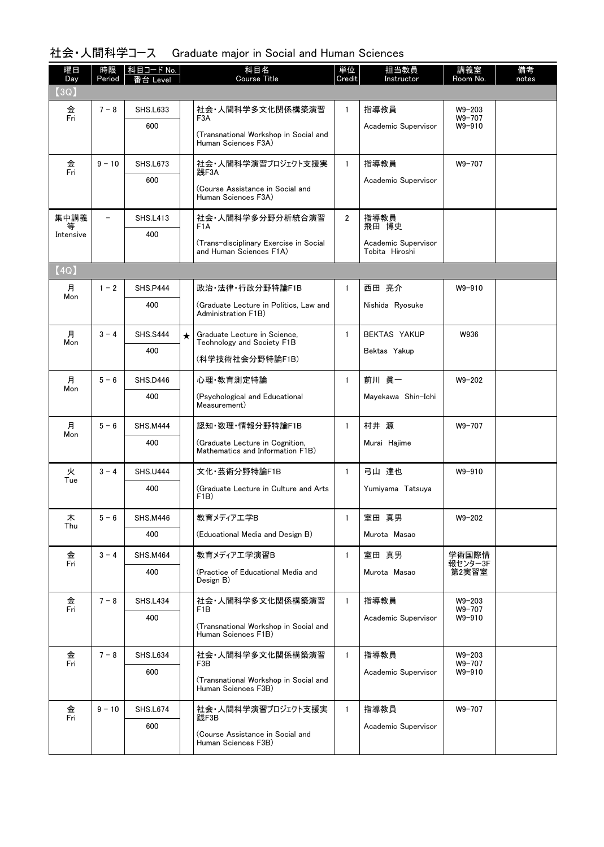| 曜日<br>Day | 時限<br>Period | 科目コード No.<br>番台 Level |         | 科目名<br><b>Course Title</b>                                                       | 単位<br>Credit   | 担当教員<br>Instructor  | 講義室<br>Room No.      | 備考<br>notes |
|-----------|--------------|-----------------------|---------|----------------------------------------------------------------------------------|----------------|---------------------|----------------------|-------------|
| (3Q)      |              |                       |         |                                                                                  |                |                     |                      |             |
| 金<br>Fri  | $7 - 8$      | <b>SHS.L633</b>       |         | 社会•人間科学多文化関係構築演習                                                                 | $\mathbf{1}$   | 指導教員                | $W9 - 203$<br>W9-707 |             |
|           |              | 600                   |         | F3A<br>(Transnational Workshop in Social and                                     |                | Academic Supervisor | W9-910               |             |
|           |              |                       |         | Human Sciences F3A)                                                              |                |                     |                      |             |
| 金<br>Fri  | $9 - 10$     | <b>SHS.L673</b>       |         | 社会・人間科学演習プロジェクト支援実<br>践F3A                                                       | $\mathbf{1}$   | 指導教員                | W9-707               |             |
|           |              | 600                   |         | (Course Assistance in Social and<br>Human Sciences F3A)                          |                | Academic Supervisor |                      |             |
| 集中講義      |              | <b>SHS.L413</b>       |         | 社会 人間科学多分野分析統合演習<br>F <sub>1</sub> A                                             | $\overline{2}$ | 指導教員<br>飛田 博史       |                      |             |
| Intensive |              | 400                   |         | (Trans-disciplinary Exercise in Social                                           |                | Academic Supervisor |                      |             |
|           |              |                       |         | and Human Sciences F1A)                                                          |                | Tobita Hiroshi      |                      |             |
| [4Q]      |              |                       |         |                                                                                  |                |                     |                      |             |
| 月         | $1 - 2$      | SHS.P444              |         | 政治·法律·行政分野特論F1B                                                                  | $\mathbf{1}$   | 西田 亮介               | W9-910               |             |
| Mon       |              | 400                   |         | (Graduate Lecture in Politics, Law and<br>Administration F1B)                    |                | Nishida Ryosuke     |                      |             |
| 月         | $3 - 4$      | <b>SHS.S444</b>       | $\star$ | Graduate Lecture in Science,<br>Technology and Society F1B                       | $\mathbf{1}$   | <b>BEKTAS YAKUP</b> | W936                 |             |
| Mon       |              | 400                   |         | (科学技術社会分野特論F1B)                                                                  |                | Bektas Yakup        |                      |             |
| 月         | $5 - 6$      | SHS.D446              |         | 心理·教育測定特論                                                                        | $\mathbf{1}$   | 前川 眞一               | $W9 - 202$           |             |
| Mon       |              | 400                   |         | (Psychological and Educational<br>Measurement)                                   |                | Mayekawa Shin-Ichi  |                      |             |
| 月         | $5 - 6$      | <b>SHS.M444</b>       |         | 認知·数理·情報分野特論F1B                                                                  | $\mathbf{1}$   | 村井 源                | W9-707               |             |
| Mon       |              | 400                   |         | (Graduate Lecture in Cognition,<br>Mathematics and Information F1B)              |                | Murai Hajime        |                      |             |
| 火         | $3 - 4$      | <b>SHS.U444</b>       |         | 文化·芸術分野特論F1B                                                                     | $\mathbf{1}$   | 弓山 達也               | W9-910               |             |
| Tue       |              | 400                   |         | (Graduate Lecture in Culture and Arts)<br>F1B)                                   |                | Yumiyama Tatsuya    |                      |             |
| 木         | $5 - 6$      | <b>SHS.M446</b>       |         | 教育メディアエ学B                                                                        | $\mathbf{1}$   | 室田 真男               | W9-202               |             |
| Thu       |              | 400                   |         | (Educational Media and Design B)                                                 |                | Murota Masao        |                      |             |
| 金         | $3 - 4$      | <b>SHS.M464</b>       |         | 教育メディアエ学演習B                                                                      | $\mathbf{1}$   | 室田 真男               | 学術国際情                |             |
| Fri       |              | 400                   |         | (Practice of Educational Media and<br>Design B)                                  |                | Murota Masao        | 報センター3F<br>第2実習室     |             |
| 金         | $7 - 8$      | <b>SHS.L434</b>       |         | 社会•人間科学多文化関係構築演習                                                                 | $\mathbf{1}$   | 指導教員                | $W9 - 203$           |             |
| Fri       |              | 400                   |         | F <sub>1</sub> B<br>(Transnational Workshop in Social and<br>Human Sciences F1B) |                | Academic Supervisor | W9-707<br>W9-910     |             |
| 金         | $7 - 8$      | <b>SHS.L634</b>       |         | 社会•人間科学多文化関係構築演習                                                                 | $\mathbf{1}$   | 指導教員                | $W9 - 203$           |             |
| Fri       |              | 600                   |         | F3B                                                                              |                | Academic Supervisor | W9-707<br>W9-910     |             |
|           |              |                       |         | (Transnational Workshop in Social and<br>Human Sciences F3B)                     |                |                     |                      |             |
| 金<br>Fri  | $9 - 10$     | <b>SHS.L674</b>       |         | 社会・人間科学演習プロジェクト支援実<br>践F3B                                                       | $\mathbf{1}$   | 指導教員                | W9-707               |             |
|           |              | 600                   |         | (Course Assistance in Social and<br>Human Sciences F3B)                          |                | Academic Supervisor |                      |             |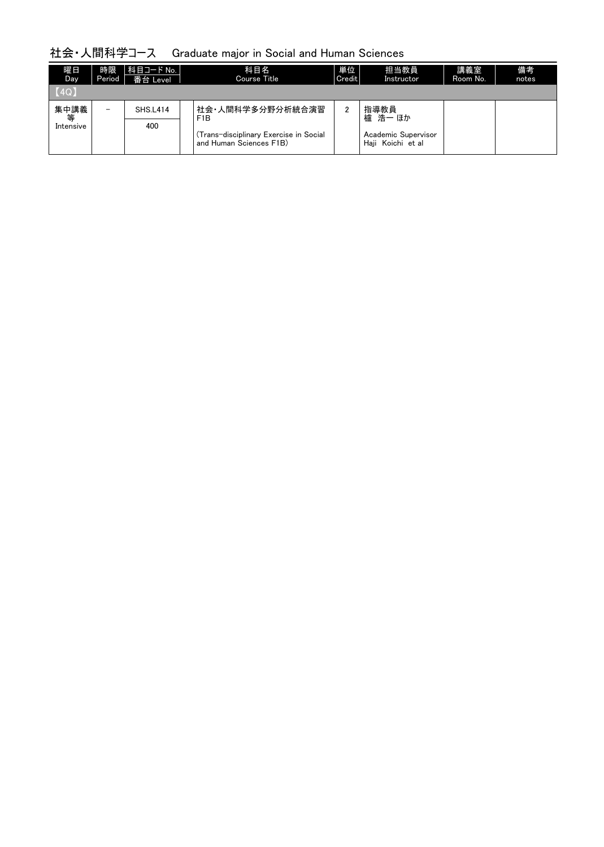| 曜日<br>Day    | 時限<br>Period             | │科目コード No. │<br>番台 Level | 科目名<br>Course Title                                               | 単位<br>Credit | 担当教員<br>Instructor                       | 講義室<br>Room No. | 備考<br>notes |
|--------------|--------------------------|--------------------------|-------------------------------------------------------------------|--------------|------------------------------------------|-----------------|-------------|
| $\vert$ (4Q) |                          |                          |                                                                   |              |                                          |                 |             |
| 集中講義<br>等    | $\overline{\phantom{0}}$ | <b>SHS.L414</b>          | 社会•人間科学多分野分析統合演習<br>F <sub>1</sub> B                              | 2            | 指導教員<br>櫨 浩一 ほか                          |                 |             |
| Intensive    |                          | 400                      | (Trans-disciplinary Exercise in Social<br>and Human Sciences F1B) |              | Academic Supervisor<br>Haii Koichi et al |                 |             |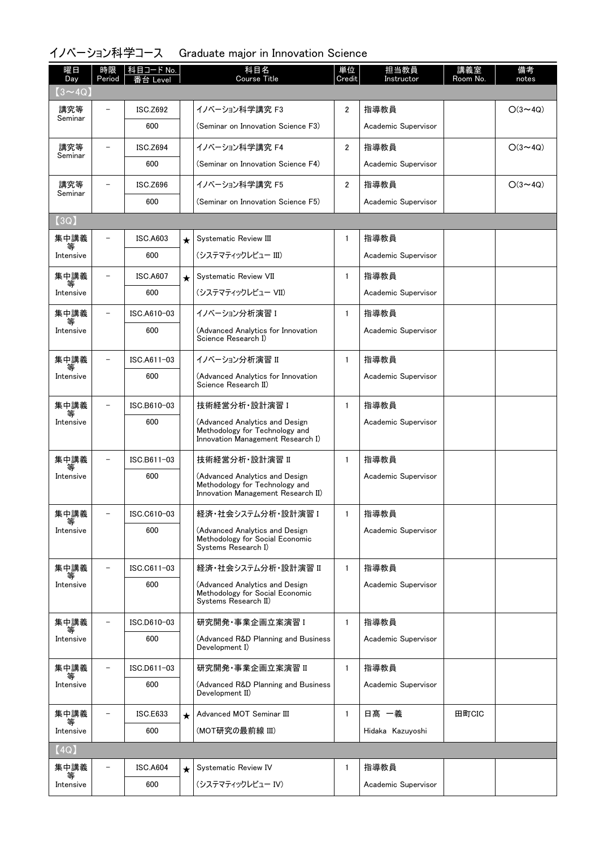# イノベーション科学コース Graduate major in Innovation Science

| 曜日<br>Day      | 時限<br>Period   | 科目コード No.<br>番台 Level |         | 科目名<br><b>Course Title</b>                                                                             | 単位<br>Credit   | 担当教員<br>Instructor  | 講義室<br>Room No. | 備考<br>notes    |
|----------------|----------------|-----------------------|---------|--------------------------------------------------------------------------------------------------------|----------------|---------------------|-----------------|----------------|
| $(3 \sim 4Q)$  |                |                       |         |                                                                                                        |                |                     |                 |                |
| 講究等<br>Seminar |                | <b>ISC.Z692</b>       |         | イノベーション科学講究 F3                                                                                         | $\overline{2}$ | 指導教員                |                 | $O(3 \sim 4Q)$ |
|                |                | 600                   |         | (Seminar on Innovation Science F3)                                                                     |                | Academic Supervisor |                 |                |
| 講究等<br>Seminar |                | <b>ISC.Z694</b>       |         | イノベーション科学講究 F4                                                                                         | $\overline{2}$ | 指導教員                |                 | $O(3 \sim 4Q)$ |
|                |                | 600                   |         | (Seminar on Innovation Science F4)                                                                     |                | Academic Supervisor |                 |                |
| 講究等<br>Seminar |                | <b>ISC.Z696</b>       |         | イノベーション科学講究 F5                                                                                         | $\overline{2}$ | 指導教員                |                 | $O(3 \sim 4Q)$ |
|                |                | 600                   |         | (Seminar on Innovation Science F5)                                                                     |                | Academic Supervisor |                 |                |
| (3Q)           |                |                       |         |                                                                                                        |                |                     |                 |                |
| 集中講義           |                | <b>ISC.A603</b>       | $\star$ | Systematic Review III                                                                                  | $\mathbf{1}$   | 指導教員                |                 |                |
| 等<br>Intensive |                | 600                   |         | (システマティックレビュー III)                                                                                     |                | Academic Supervisor |                 |                |
| 集中講義           | $\overline{a}$ | <b>ISC.A607</b>       | $\star$ | Systematic Review VII                                                                                  | $\mathbf{1}$   | 指導教員                |                 |                |
| 等<br>Intensive |                | 600                   |         | (システマティックレビュー VII)                                                                                     |                | Academic Supervisor |                 |                |
| 集中講義           |                | ISC.A610-03           |         | イノベーション分析演習 I                                                                                          | $\mathbf{1}$   | 指導教員                |                 |                |
| Intensive      |                | 600                   |         | (Advanced Analytics for Innovation<br>Science Research I)                                              |                | Academic Supervisor |                 |                |
| 集中講義           |                | ISC.A611-03           |         | イノベーション分析演習 II                                                                                         | $\mathbf{1}$   | 指導教員                |                 |                |
| Intensive      |                | 600                   |         | (Advanced Analytics for Innovation<br>Science Research II)                                             |                | Academic Supervisor |                 |                |
| 集中講義           |                | ISC.B610-03           |         | 技術経営分析·設計演習 I                                                                                          | $\mathbf{1}$   | 指導教員                |                 |                |
| Intensive      |                | 600                   |         | (Advanced Analytics and Design<br>Methodology for Technology and<br>Innovation Management Research I)  |                | Academic Supervisor |                 |                |
| 集中講義           |                | ISC.B611-03           |         | 技術経営分析·設計演習 II                                                                                         | $\mathbf{1}$   | 指導教員                |                 |                |
| Intensive      |                | 600                   |         | (Advanced Analytics and Design<br>Methodology for Technology and<br>Innovation Management Research II) |                | Academic Supervisor |                 |                |
| 集中講義           |                | ISC.C610-03           |         | 経済·社会システム分析·設計演習 I                                                                                     | $\mathbf{1}$   | 指導教員                |                 |                |
| Intensive      |                | 600                   |         | (Advanced Analytics and Design<br>Methodology for Social Economic<br>Systems Research I)               |                | Academic Supervisor |                 |                |
| 集中講義           |                | ISC.C611-03           |         | 経済・社会システム分析・設計演習 II                                                                                    | $\mathbf{1}$   | 指導教員                |                 |                |
| Intensive      |                | 600                   |         | (Advanced Analytics and Design<br>Methodology for Social Economic<br>Systems Research II)              |                | Academic Supervisor |                 |                |
| 集中講義           |                | ISC.D610-03           |         | 研究開発 事業企画立案演習 I                                                                                        | $\mathbf{1}$   | 指導教員                |                 |                |
| Intensive      |                | 600                   |         | (Advanced R&D Planning and Business<br>Development I)                                                  |                | Academic Supervisor |                 |                |
| 集中講義<br>等      | $\overline{a}$ | ISC.D611-03           |         | 研究開発·事業企画立案演習 II                                                                                       | $\mathbf{1}$   | 指導教員                |                 |                |
| Intensive      |                | 600                   |         | (Advanced R&D Planning and Business<br>Development II)                                                 |                | Academic Supervisor |                 |                |
| 集中講義           |                | ISC.E633              | $\star$ | Advanced MOT Seminar III                                                                               | $\mathbf{1}$   | 日髙 一義               | 田町CIC           |                |
| Intensive      |                | 600                   |         | (MOT研究の最前線 III)                                                                                        |                | Hidaka Kazuyoshi    |                 |                |
| (4Q)           |                |                       |         |                                                                                                        |                |                     |                 |                |
| 集中講義           |                | <b>ISC.A604</b>       | $\star$ | Systematic Review IV                                                                                   | $\mathbf{1}$   | 指導教員                |                 |                |
| Intensive      |                | 600                   |         | (システマティックレビュー IV)                                                                                      |                | Academic Supervisor |                 |                |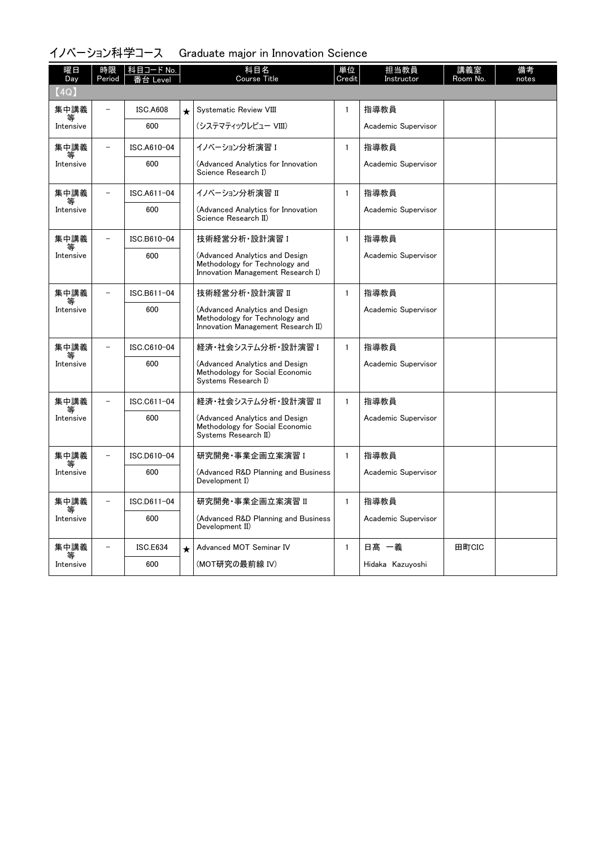# イノベーション科学コース Graduate major in Innovation Science

| 曜日<br>Day | 時限<br>Period | 科目コード No.<br>I evel |         | 科目名<br><b>Course Title</b>                                                                             | 単位<br>Credit | 担当教員<br>Instructor  | 講義室<br>Room No. | 備考<br>notes |
|-----------|--------------|---------------------|---------|--------------------------------------------------------------------------------------------------------|--------------|---------------------|-----------------|-------------|
| (4Q)      |              |                     |         |                                                                                                        |              |                     |                 |             |
| 集中講義      |              | <b>ISC.A608</b>     | $\star$ | Systematic Review VIII                                                                                 | $\mathbf{1}$ | 指導教員                |                 |             |
| Intensive |              | 600                 |         | (システマティックレビュー VIII)                                                                                    |              | Academic Supervisor |                 |             |
| 集中講義      |              | ISC.A610-04         |         | イノベーション分析演習 I                                                                                          | $\mathbf{1}$ | 指導教員                |                 |             |
| Intensive |              | 600                 |         | (Advanced Analytics for Innovation<br>Science Research I)                                              |              | Academic Supervisor |                 |             |
| 集中講義      |              | ISC.A611-04         |         | イノベーション分析演習 II                                                                                         | $\mathbf{1}$ | 指導教員                |                 |             |
| Intensive |              | 600                 |         | (Advanced Analytics for Innovation<br>Science Research II)                                             |              | Academic Supervisor |                 |             |
| 集中講義<br>等 |              | ISC.B610-04         |         | 技術経営分析 設計演習 I                                                                                          | $\mathbf{1}$ | 指導教員                |                 |             |
| Intensive |              | 600                 |         | (Advanced Analytics and Design<br>Methodology for Technology and<br>Innovation Management Research I)  |              | Academic Supervisor |                 |             |
| 集中講義      |              | ISC.B611-04         |         | 技術経営分析·設計演習 II                                                                                         | $\mathbf{1}$ | 指導教員                |                 |             |
| Intensive |              | 600                 |         | (Advanced Analytics and Design<br>Methodology for Technology and<br>Innovation Management Research II) |              | Academic Supervisor |                 |             |
| 集中講義      |              | ISC.C610-04         |         | 経済・社会システム分析・設計演習 I                                                                                     | $\mathbf{1}$ | 指導教員                |                 |             |
| Intensive |              | 600                 |         | (Advanced Analytics and Design<br>Methodology for Social Economic<br>Systems Research I)               |              | Academic Supervisor |                 |             |
| 集中講義      |              | ISC.C611-04         |         | 経済・社会システム分析・設計演習 II                                                                                    | $\mathbf{1}$ | 指導教員                |                 |             |
| Intensive |              | 600                 |         | (Advanced Analytics and Design<br>Methodology for Social Economic<br>Systems Research II)              |              | Academic Supervisor |                 |             |
| 集中講義      |              | ISC.D610-04         |         | 研究開発・事業企画立案演習 I                                                                                        | $\mathbf{1}$ | 指導教員                |                 |             |
| Intensive |              | 600                 |         | (Advanced R&D Planning and Business<br>Development I)                                                  |              | Academic Supervisor |                 |             |
| 集中講義      |              | ISC.D611-04         |         | 研究開発・事業企画立案演習 II                                                                                       | $\mathbf{1}$ | 指導教員                |                 |             |
| Intensive |              | 600                 |         | (Advanced R&D Planning and Business<br>Development II)                                                 |              | Academic Supervisor |                 |             |
| 集中講義<br>等 |              | <b>ISC.E634</b>     | $\star$ | Advanced MOT Seminar IV                                                                                | $\mathbf{1}$ | 日髙 一義               | 田町CIC           |             |
| Intensive |              | 600                 |         | (MOT研究の最前線 IV)                                                                                         |              | Hidaka Kazuyoshi    |                 |             |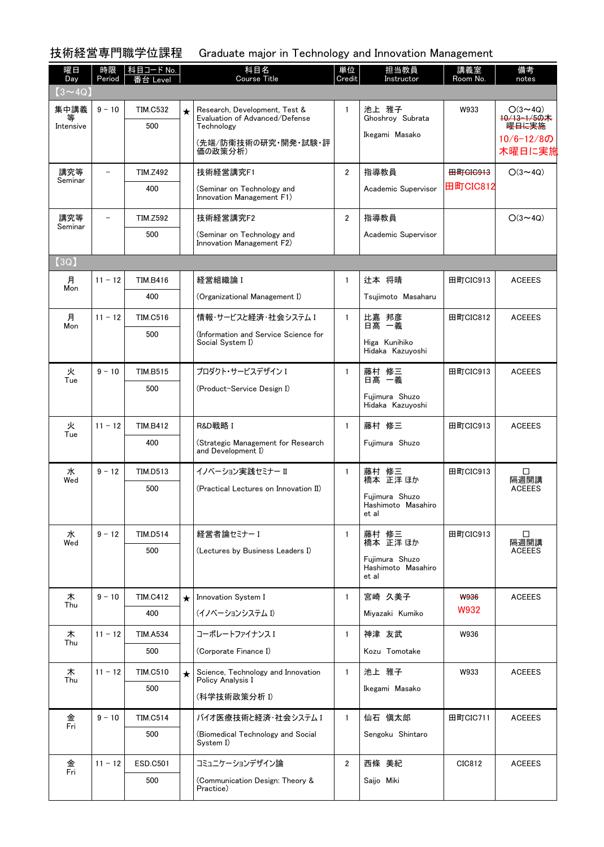技術経営専門職学位課程 Graduate major in Technology and Innovation Management

| 曜日<br>Day         | 時限<br>Period             | │科目コード No.<br>番台 Level |            | 科目名<br><b>Course Title</b>                                                    | 単位<br>Credit   | 担当教員<br>Instructor                                        | 講義室<br>Room No.     | 備考<br>notes                                       |
|-------------------|--------------------------|------------------------|------------|-------------------------------------------------------------------------------|----------------|-----------------------------------------------------------|---------------------|---------------------------------------------------|
| $(3 \sim 4Q)$     |                          |                        |            |                                                                               |                |                                                           |                     |                                                   |
| 集中講義<br>Intensive | $9 - 10$                 | <b>TIM.C532</b><br>500 | $\star$    | Research, Development, Test &<br>Evaluation of Advanced/Defense<br>Technology | $\mathbf{1}$   | 池上 雅子<br>Ghoshroy Subrata                                 | W933                | $O(3 \sim 4Q)$<br>10/13-1/5の木<br><del>曜日に実施</del> |
|                   |                          |                        |            | (先端/防衛技術の研究・開発・試験・評<br>価の政策分析)                                                |                | Ikegami Masako                                            |                     | 10/6-12/8の<br>木曜日に実施                              |
| 講究等               | $\overline{\phantom{0}}$ | <b>TIM.Z492</b>        |            | 技術経営講究F1                                                                      | $\overline{2}$ | 指導教員                                                      | <del>田町CIC913</del> | $O(3 \sim 4Q)$                                    |
| Seminar           |                          | 400                    |            | (Seminar on Technology and<br>Innovation Management F1)                       |                | Academic Supervisor                                       | 田町CIC812            |                                                   |
| 講究等<br>Seminar    | $\overline{\phantom{0}}$ | <b>TIM.Z592</b>        |            | 技術経営講究F2                                                                      | $\overline{2}$ | 指導教員                                                      |                     | $O(3 \sim 4Q)$                                    |
|                   |                          | 500                    |            | (Seminar on Technology and<br>Innovation Management F2)                       |                | Academic Supervisor                                       |                     |                                                   |
| (3Q)              |                          |                        |            |                                                                               |                |                                                           |                     |                                                   |
| 月<br>Mon          | $11 - 12$                | <b>TIM.B416</b>        |            | 経営組織論 I                                                                       | $\mathbf{1}$   | 辻本 将晴                                                     | 田町CIC913            | <b>ACEEES</b>                                     |
|                   |                          | 400                    |            | (Organizational Management I)                                                 |                | Tsujimoto Masaharu                                        |                     |                                                   |
| 月<br>Mon          | $11 - 12$                | <b>TIM.C516</b>        |            | 情報・サービスと経済・社会システム I                                                           | $\mathbf{1}$   | 比嘉 邦彦<br>日高 一義                                            | 田町CIC812            | <b>ACEEES</b>                                     |
|                   |                          | 500                    |            | (Information and Service Science for<br>Social System I)                      |                | Higa Kunihiko<br>Hidaka Kazuyoshi                         |                     |                                                   |
| 火                 | $9 - 10$                 | <b>TIM.B515</b>        |            | プロダクト・サービスデザイン I                                                              | $\mathbf{1}$   | 藤村 修三                                                     | 田町CIC913            | <b>ACEEES</b>                                     |
| Tue               |                          | 500                    |            | (Product-Service Design I)                                                    |                | 日髙 一義<br>Fujimura Shuzo<br>Hidaka Kazuyoshi               |                     |                                                   |
| 火                 | $11 - 12$                | <b>TIM.B412</b>        |            | R&D戦略 I                                                                       | $\mathbf{1}$   | 藤村 修三                                                     | 田町CIC913            | <b>ACEEES</b>                                     |
| Tue               |                          | 400                    |            | (Strategic Management for Research<br>and Development I)                      |                | Fujimura Shuzo                                            |                     |                                                   |
| 水<br>Wed          | $9 - 12$                 | <b>TIM.D513</b>        |            | イノベーション実践ヤミナー II                                                              | $\mathbf{1}$   | 藤村 修三<br>橋本 正洋 ほか                                         | 田町CIC913            | □<br>隔週開講                                         |
|                   |                          | 500                    |            | (Practical Lectures on Innovation II)                                         |                | Fujimura Shuzo<br>Hashimoto Masahiro<br>et al             |                     | <b>ACEEES</b>                                     |
| 水                 | $9 - 12$                 | <b>TIM.D514</b>        |            | 経営者論セミナー I                                                                    | $\mathbf{1}$   | 藤村 修三                                                     | 田町CIC913            | $\Box$                                            |
| Wed               |                          | 500                    |            | (Lectures by Business Leaders I)                                              |                | 橋本 正洋 ほか<br>Fujimura Shuzo<br>Hashimoto Masahiro<br>et al |                     | 隔週開講<br><b>ACEEES</b>                             |
| 木                 | $9 - 10$                 | <b>TIM.C412</b>        | $\bigstar$ | Innovation System I                                                           | $\mathbf{1}$   | 宮崎 久美子                                                    | W936                | <b>ACEEES</b>                                     |
| Thu               |                          | 400                    |            | (イノベーションシステム I)                                                               |                | Miyazaki Kumiko                                           | W932                |                                                   |
| 木                 | $11 - 12$                | <b>TIM.A534</b>        |            | コーポレートファイナンスI                                                                 | $\mathbf{1}$   | 神津 友武                                                     | W936                |                                                   |
| Thu               |                          | 500                    |            | (Corporate Finance I)                                                         |                | Kozu Tomotake                                             |                     |                                                   |
| 木                 | $11 - 12$                | <b>TIM.C510</b>        | $\star$    | Science, Technology and Innovation                                            | $\mathbf{1}$   | 池上 雅子                                                     | W933                | <b>ACEEES</b>                                     |
| Thu               |                          | 500                    |            | Policy Analysis I<br>(科学技術政策分析 I)                                             |                | Ikegami Masako                                            |                     |                                                   |
| 金<br>Fri          | $9 - 10$                 | <b>TIM.C514</b>        |            | バイオ医療技術と経済・社会システム I                                                           | $\mathbf{1}$   | 仙石 愼太郎                                                    | 田町CIC711            | <b>ACEEES</b>                                     |
|                   |                          | 500                    |            | (Biomedical Technology and Social<br>System I)                                |                | Sengoku Shintaro                                          |                     |                                                   |
| 金<br>Fri          | $11 - 12$                | <b>ESD.C501</b>        |            | コミュニケーションデザイン論                                                                | $\overline{2}$ | 西條 美紀                                                     | CIC812              | <b>ACEEES</b>                                     |
|                   |                          | 500                    |            | (Communication Design: Theory &<br>Practice)                                  |                | Saijo Miki                                                |                     |                                                   |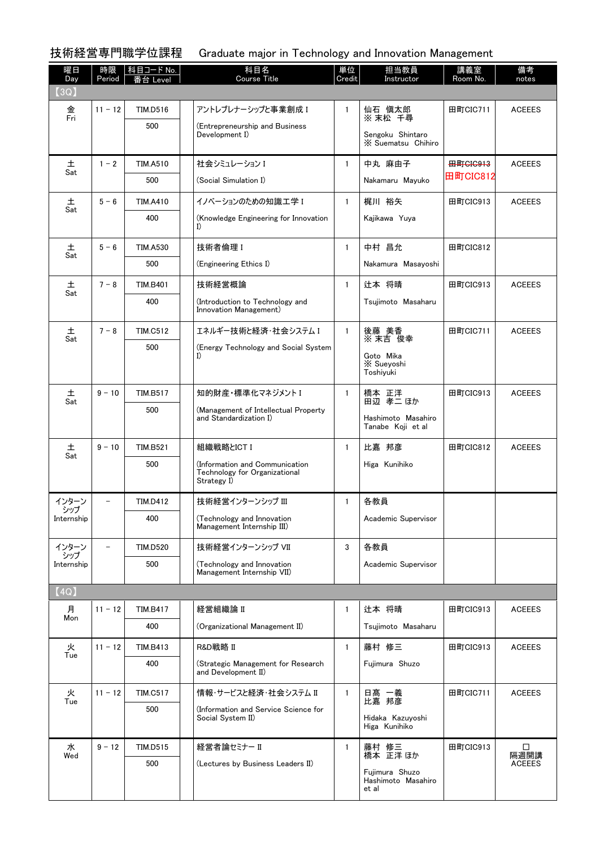技術経営専門職学位課程 Graduate major in Technology and Innovation Management

| 曜日<br>Day    | 時限<br>Period | │科目コード No.<br>番台 Level | 科目名<br><b>Course Title</b>                                                     | 単位<br>Credit | 担当教員<br>Instructor                                        | 講義室<br>Room No. | 備考<br>notes           |
|--------------|--------------|------------------------|--------------------------------------------------------------------------------|--------------|-----------------------------------------------------------|-----------------|-----------------------|
| (3Q)         |              |                        |                                                                                |              |                                                           |                 |                       |
| 金<br>Fri     | $11 - 12$    | <b>TIM.D516</b>        | アントレプレナーシップと事業創成 I                                                             | $\mathbf{1}$ | 仙石 愼太郎<br>※ 末松 千尋                                         | 田町CIC711        | <b>ACEEES</b>         |
|              |              | 500                    | (Entrepreneurship and Business<br>Development I)                               |              | Sengoku Shintaro<br>X Suematsu Chihiro                    |                 |                       |
| 土            | $1 - 2$      | <b>TIM.A510</b>        | 社会シミュレーション I                                                                   | $\mathbf{1}$ | 中丸 麻由子                                                    | <b>田町GIG913</b> | <b>ACEEES</b>         |
| Sat          |              | 500                    | (Social Simulation I)                                                          |              | Nakamaru Mayuko                                           | 田町CIC812        |                       |
| 土<br>Sat     | $5 - 6$      | <b>TIM.A410</b>        | イノベーションのための知識工学 I                                                              | $\mathbf{1}$ | 梶川 裕矢                                                     | 田町CIC913        | <b>ACEEES</b>         |
|              |              | 400                    | (Knowledge Engineering for Innovation<br>I)                                    |              | Kajikawa Yuya                                             |                 |                       |
| 土            | $5 - 6$      | <b>TIM.A530</b>        | 技術者倫理 I                                                                        | $\mathbf{1}$ | 中村 昌允                                                     | 田町CIC812        |                       |
| Sat          |              | 500                    | (Engineering Ethics I)                                                         |              | Nakamura Masayoshi                                        |                 |                       |
| 土<br>Sat     | $7 - 8$      | <b>TIM.B401</b>        | 技術経営概論                                                                         | $\mathbf{1}$ | 辻本 将晴                                                     | 田町CIC913        | <b>ACEEES</b>         |
|              |              | 400                    | (Introduction to Technology and<br>Innovation Management)                      |              | Tsujimoto Masaharu                                        |                 |                       |
| 土<br>Sat     | $7 - 8$      | <b>TIM.C512</b>        | エネルギー技術と経済・社会システム I                                                            | $\mathbf{1}$ | 後藤 美香<br>※ 末吉 俊幸                                          | 田町CIC711        | <b>ACEEES</b>         |
|              |              | 500                    | (Energy Technology and Social System<br>I)                                     |              | Goto Mika<br><b>X</b> Sueyoshi<br>Toshiyuki               |                 |                       |
| 土<br>Sat     | $9 - 10$     | <b>TIM.B517</b>        | 知的財産・標準化マネジメント I                                                               | $\mathbf{1}$ | 橋本 正洋<br>田辺 孝二 ほか                                         | 田町CIC913        | <b>ACEEES</b>         |
|              |              | 500                    | (Management of Intellectual Property<br>and Standardization I)                 |              | Hashimoto Masahiro<br>Tanabe Koji et al                   |                 |                       |
| 土<br>Sat     | $9 - 10$     | <b>TIM.B521</b>        | 組織戦略とICT I                                                                     | $\mathbf{1}$ | 比嘉 邦彦                                                     | 田町CIC812        | <b>ACEEES</b>         |
|              |              | 500                    | (Information and Communication<br>Technology for Organizational<br>Strategy I) |              | Higa Kunihiko                                             |                 |                       |
| インターン<br>シップ |              | <b>TIM.D412</b>        | 技術経営インターンシップ III                                                               | $\mathbf{1}$ | 各教員                                                       |                 |                       |
| Internship   |              | 400                    | (Technology and Innovation<br>Management Internship III)                       |              | Academic Supervisor                                       |                 |                       |
| インターン<br>シップ |              | <b>TIM.D520</b>        | 技術経営インターンシップ VII                                                               | 3            | 各教員                                                       |                 |                       |
| Internship   |              | 500                    | (Technology and Innovation<br>Management Internship VII)                       |              | Academic Supervisor                                       |                 |                       |
| [4Q]         |              |                        |                                                                                |              |                                                           |                 |                       |
| 月<br>Mon     | $11 - 12$    | <b>TIM.B417</b>        | 経営組織論 II                                                                       | $\mathbf{1}$ | 辻本 将晴                                                     | 田町CIC913        | <b>ACEEES</b>         |
|              |              | 400                    | (Organizational Management II)                                                 |              | Tsuiimoto Masaharu                                        |                 |                       |
| 火<br>Tue     | $11 - 12$    | <b>TIM.B413</b>        | R&D戦略 II                                                                       | 1            | 藤村 修三                                                     | 田町CIC913        | <b>ACEEES</b>         |
|              |              | 400                    | (Strategic Management for Research<br>and Development II)                      |              | Fujimura Shuzo                                            |                 |                       |
| 火<br>Tue     | $11 - 12$    | <b>TIM.C517</b>        | 情報・サービスと経済・社会システム Ⅱ                                                            | $\mathbf{1}$ | 日髙 一義<br>比嘉 邦彦                                            | 田町CIC711        | <b>ACEEES</b>         |
|              |              | 500                    | (Information and Service Science for<br>Social System II)                      |              | Hidaka Kazuyoshi<br>Higa Kunihiko                         |                 |                       |
| 水            | $9 - 12$     | <b>TIM.D515</b>        | 経営者論セミナー II                                                                    | $\mathbf{1}$ | 藤村 修三                                                     | 田町CIC913        | □                     |
| Wed          |              | 500                    | (Lectures by Business Leaders II)                                              |              | 橋本 正洋 ほか<br>Fujimura Shuzo<br>Hashimoto Masahiro<br>et al |                 | 隔週開講<br><b>ACEEES</b> |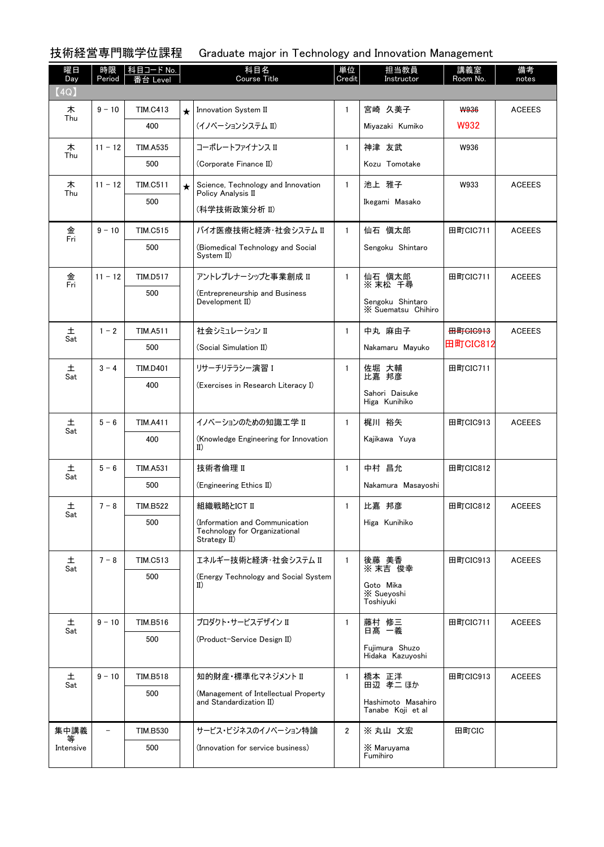## 技術経営専門職学位課程 Graduate major in Technology and Innovation Management

| 曜日<br>Day | 時限<br>Period | │科目コード No.<br>≸台 Level |         | 科目名<br><b>Course Title</b>                                                      | 単位<br>Credit   | 担当教員<br>Instructor                      | 講義室<br>Room No.     | 備考<br>notes   |
|-----------|--------------|------------------------|---------|---------------------------------------------------------------------------------|----------------|-----------------------------------------|---------------------|---------------|
| (4Q)      |              |                        |         |                                                                                 |                |                                         |                     |               |
| 木<br>Thu  | $9 - 10$     | <b>TIM.C413</b>        | $\star$ | Innovation System II                                                            | $\mathbf{1}$   | 宮崎 久美子                                  | <b>W936</b>         | <b>ACEEES</b> |
|           |              | 400                    |         | (イノベーションシステム II)                                                                |                | Miyazaki Kumiko                         | W932                |               |
| 木<br>Thu  | $11 - 12$    | <b>TIM.A535</b>        |         | コーポレートファイナンス II                                                                 | $\mathbf{1}$   | 神津 友武                                   | W936                |               |
|           |              | 500                    |         | (Corporate Finance II)                                                          |                | Kozu Tomotake                           |                     |               |
| 木<br>Thu  | $11 - 12$    | <b>TIM.C511</b>        | $\star$ | Science, Technology and Innovation<br>Policy Analysis II                        | $\mathbf{1}$   | 池上 雅子                                   | W933                | <b>ACEEES</b> |
|           |              | 500                    |         | (科学技術政策分析 Ⅱ)                                                                    |                | Ikegami Masako                          |                     |               |
| 金         | $9 - 10$     | <b>TIM.C515</b>        |         | バイオ医療技術と経済・社会システム II                                                            | $\mathbf{1}$   | 仙石 慎太郎                                  | 田町CIC711            | <b>ACEEES</b> |
| Fri       |              | 500                    |         | (Biomedical Technology and Social                                               |                | Sengoku Shintaro                        |                     |               |
|           |              |                        |         | System II)                                                                      |                |                                         |                     |               |
| 金<br>Fri  | $11 - 12$    | <b>TIM.D517</b>        |         | アントレプレナーシップと事業創成 II                                                             | $\mathbf{1}$   | 仙石 慎太郎<br>※ 末松 千尋                       | 田町CIC711            | <b>ACEEES</b> |
|           |              | 500                    |         | (Entrepreneurship and Business<br>Development II)                               |                | Sengoku Shintaro<br>X Suematsu Chihiro  |                     |               |
| 土         | $1 - 2$      | <b>TIM.A511</b>        |         | 社会シミュレーション II                                                                   | $\mathbf{1}$   | 中丸 麻由子                                  | <del>田町CIC913</del> | <b>ACEEES</b> |
| Sat       |              | 500                    |         | (Social Simulation II)                                                          |                | Nakamaru Mayuko                         | 田町CIC812            |               |
| 土         | $3 - 4$      | <b>TIM.D401</b>        |         | リサーチリテラシー演習 I                                                                   | $\mathbf{1}$   | 佐堀 大輔                                   | 田町CIC711            |               |
| Sat       |              | 400                    |         | (Exercises in Research Literacy I)                                              |                | 比嘉 邦彦<br>Sahori Daisuke                 |                     |               |
|           |              |                        |         |                                                                                 |                | Higa Kunihiko                           |                     |               |
| 土<br>Sat  | $5 - 6$      | <b>TIM.A411</b>        |         | イノベーションのための知識工学 II                                                              | $\mathbf{1}$   | 梶川 裕矢                                   | 田町CIC913            | <b>ACEEES</b> |
|           |              | 400                    |         | (Knowledge Engineering for Innovation<br>$_{II}$                                |                | Kajikawa Yuya                           |                     |               |
| 土         | $5 - 6$      | <b>TIM.A531</b>        |         | 技術者倫理 II                                                                        | $\mathbf{1}$   | 中村 昌允                                   | 田町CIC812            |               |
| Sat       |              | 500                    |         | (Engineering Ethics II)                                                         |                | Nakamura Masayoshi                      |                     |               |
| 土         | $7 - 8$      | <b>TIM.B522</b>        |         | 組織戦略とICT II                                                                     | 1              | 比嘉 邦彦                                   | 田町CIC812            | <b>ACEEES</b> |
| Sat       |              | 500                    |         | (Information and Communication<br>Technology for Organizational<br>Strategy II) |                | Higa Kunihiko                           |                     |               |
| 土<br>Sat  | $7 - 8$      | <b>TIM.C513</b>        |         | エネルギー技術と経済・社会システム II                                                            | $\mathbf{1}$   | 後藤 美香<br>※ 末吉 俊幸                        | 田町CIC913            | <b>ACEEES</b> |
|           |              | 500                    |         | (Energy Technology and Social System<br>$_{\rm II}$                             |                | Goto Mika                               |                     |               |
|           |              |                        |         |                                                                                 |                | X Sueyoshi<br>Toshiyuki                 |                     |               |
| 土<br>Sat  | $9 - 10$     | TIM.B516               |         | プロダクト・サービスデザイン II                                                               | $\mathbf{1}$   | 藤村 修三<br>日髙 一義                          | 田町CIC711            | <b>ACEEES</b> |
|           |              | 500                    |         | (Product-Service Design II)                                                     |                | Fujimura Shuzo                          |                     |               |
|           |              |                        |         |                                                                                 |                | Hidaka Kazuyoshi                        |                     |               |
| 土<br>Sat  | $9 - 10$     | TIM.B518               |         | 知的財産・標準化マネジメント II                                                               | $\mathbf{1}$   | 橋本 正洋<br>田辺 孝二 ほか                       | 田町CIC913            | <b>ACEEES</b> |
|           |              | 500                    |         | (Management of Intellectual Property<br>and Standardization II)                 |                | Hashimoto Masahiro<br>Tanabe Koji et al |                     |               |
| 集中講義      |              | <b>TIM.B530</b>        |         | サービス・ビジネスのイノベーション特論                                                             | $\overline{2}$ | ※丸山 文宏                                  | 田町CIC               |               |
| Intensive |              | 500                    |         | (Innovation for service business)                                               |                | X Maruyama<br>Fumihiro                  |                     |               |